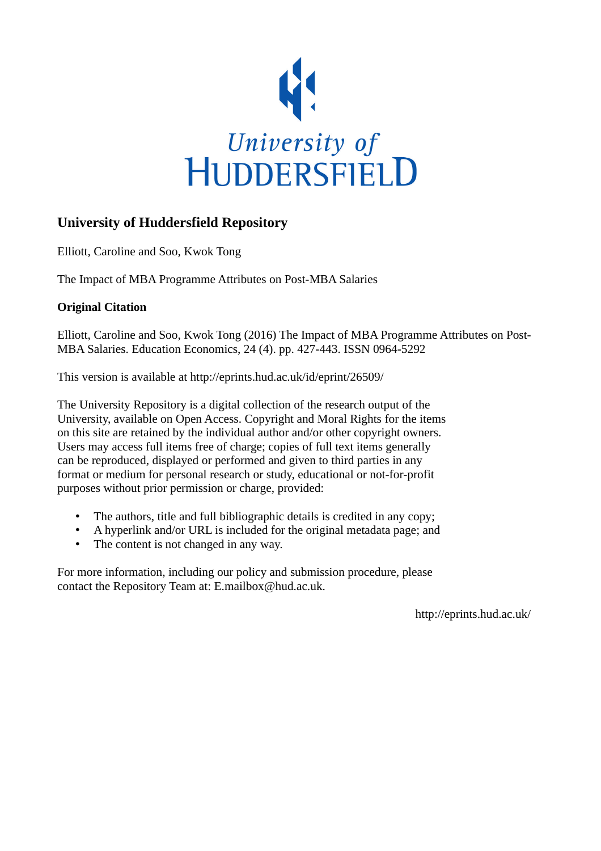

# **University of Huddersfield Repository**

Elliott, Caroline and Soo, Kwok Tong

The Impact of MBA Programme Attributes on Post-MBA Salaries

## **Original Citation**

Elliott, Caroline and Soo, Kwok Tong (2016) The Impact of MBA Programme Attributes on Post-MBA Salaries. Education Economics, 24 (4). pp. 427-443. ISSN 0964-5292

This version is available at http://eprints.hud.ac.uk/id/eprint/26509/

The University Repository is a digital collection of the research output of the University, available on Open Access. Copyright and Moral Rights for the items on this site are retained by the individual author and/or other copyright owners. Users may access full items free of charge; copies of full text items generally can be reproduced, displayed or performed and given to third parties in any format or medium for personal research or study, educational or not-for-profit purposes without prior permission or charge, provided:

- The authors, title and full bibliographic details is credited in any copy;
- A hyperlink and/or URL is included for the original metadata page; and
- The content is not changed in any way.

For more information, including our policy and submission procedure, please contact the Repository Team at: E.mailbox@hud.ac.uk.

http://eprints.hud.ac.uk/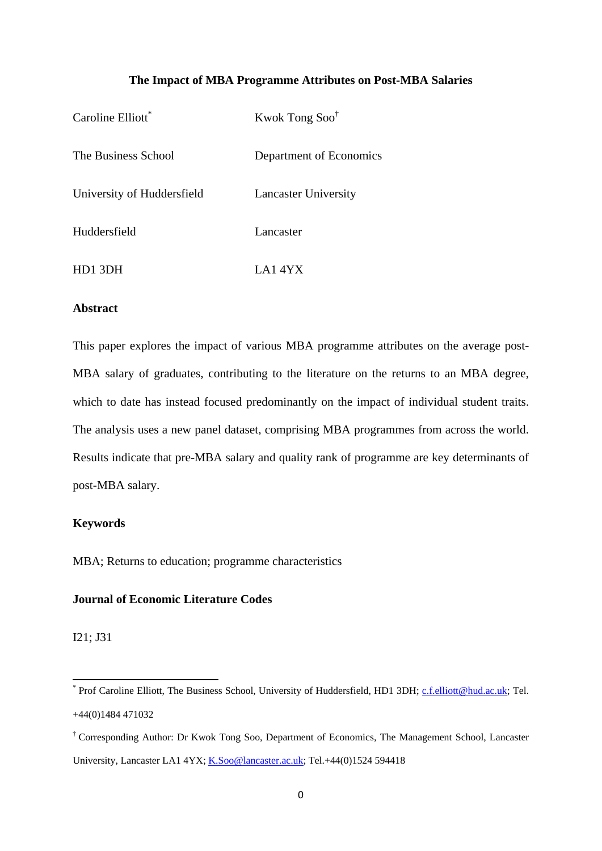## **The Impact of MBA Programme Attributes on Post-MBA Salaries**

| Caroline Elliott <sup>*</sup> | Kwok Tong Soo <sup>†</sup>  |
|-------------------------------|-----------------------------|
| The Business School           | Department of Economics     |
| University of Huddersfield    | <b>Lancaster University</b> |
| Huddersfield                  | Lancaster                   |
| HD1 3DH                       | LA14YX                      |

## **Abstract**

This paper explores the impact of various MBA programme attributes on the average post-MBA salary of graduates, contributing to the literature on the returns to an MBA degree, which to date has instead focused predominantly on the impact of individual student traits. The analysis uses a new panel dataset, comprising MBA programmes from across the world. Results indicate that pre-MBA salary and quality rank of programme are key determinants of post-MBA salary.

## **Keywords**

MBA; Returns to education; programme characteristics

## **Journal of Economic Literature Codes**

I21; J31

The Terror Caroline Elliott, The Business School, University of Huddersfield, HD1 3DH; c.f.elliott@hud.ac.uk; Tel. +44(0)1484 471032

<sup>†</sup> Corresponding Author: Dr Kwok Tong Soo, Department of Economics, The Management School, Lancaster University, Lancaster LA1 4YX; K.Soo@lancaster.ac.uk; Tel.+44(0)1524 594418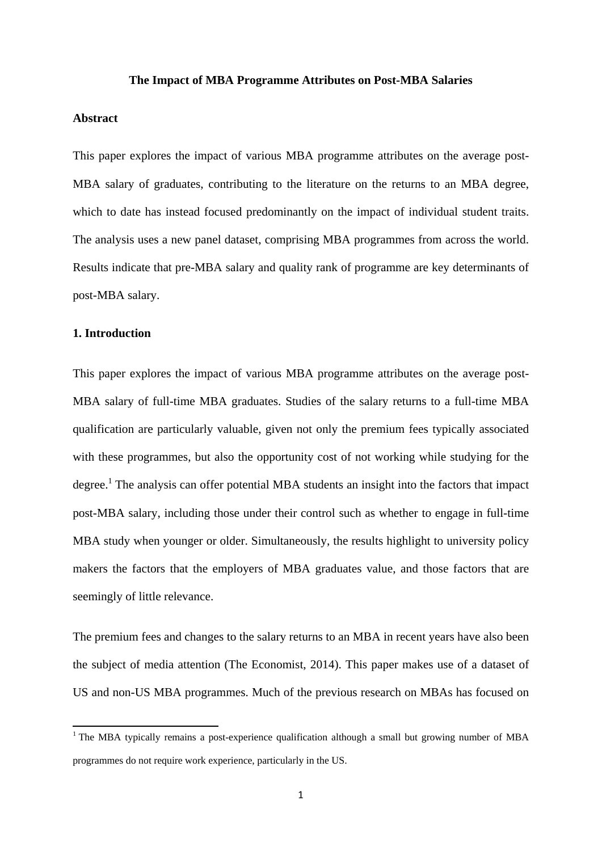#### **The Impact of MBA Programme Attributes on Post-MBA Salaries**

## **Abstract**

This paper explores the impact of various MBA programme attributes on the average post-MBA salary of graduates, contributing to the literature on the returns to an MBA degree, which to date has instead focused predominantly on the impact of individual student traits. The analysis uses a new panel dataset, comprising MBA programmes from across the world. Results indicate that pre-MBA salary and quality rank of programme are key determinants of post-MBA salary.

#### **1. Introduction**

This paper explores the impact of various MBA programme attributes on the average post-MBA salary of full-time MBA graduates. Studies of the salary returns to a full-time MBA qualification are particularly valuable, given not only the premium fees typically associated with these programmes, but also the opportunity cost of not working while studying for the degree.<sup>1</sup> The analysis can offer potential MBA students an insight into the factors that impact post-MBA salary, including those under their control such as whether to engage in full-time MBA study when younger or older. Simultaneously, the results highlight to university policy makers the factors that the employers of MBA graduates value, and those factors that are seemingly of little relevance.

The premium fees and changes to the salary returns to an MBA in recent years have also been the subject of media attention (The Economist, 2014). This paper makes use of a dataset of US and non-US MBA programmes. Much of the previous research on MBAs has focused on

<sup>&</sup>lt;sup>1</sup> The MBA typically remains a post-experience qualification although a small but growing number of MBA programmes do not require work experience, particularly in the US.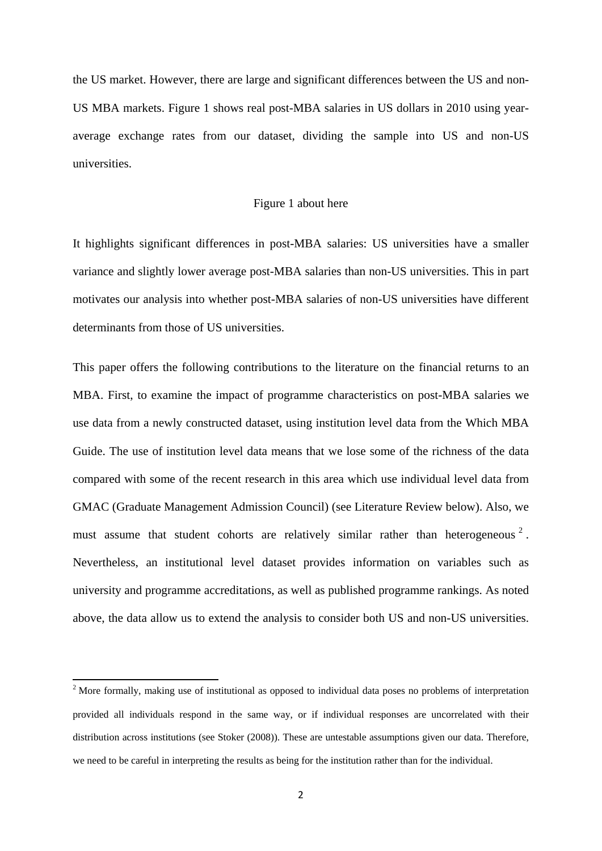the US market. However, there are large and significant differences between the US and non-US MBA markets. Figure 1 shows real post-MBA salaries in US dollars in 2010 using yearaverage exchange rates from our dataset, dividing the sample into US and non-US universities.

### Figure 1 about here

It highlights significant differences in post-MBA salaries: US universities have a smaller variance and slightly lower average post-MBA salaries than non-US universities. This in part motivates our analysis into whether post-MBA salaries of non-US universities have different determinants from those of US universities.

This paper offers the following contributions to the literature on the financial returns to an MBA. First, to examine the impact of programme characteristics on post-MBA salaries we use data from a newly constructed dataset, using institution level data from the Which MBA Guide. The use of institution level data means that we lose some of the richness of the data compared with some of the recent research in this area which use individual level data from GMAC (Graduate Management Admission Council) (see Literature Review below). Also, we must assume that student cohorts are relatively similar rather than heterogeneous<sup>2</sup>. Nevertheless, an institutional level dataset provides information on variables such as university and programme accreditations, as well as published programme rankings. As noted above, the data allow us to extend the analysis to consider both US and non-US universities.

 $2^2$  More formally, making use of institutional as opposed to individual data poses no problems of interpretation provided all individuals respond in the same way, or if individual responses are uncorrelated with their distribution across institutions (see Stoker (2008)). These are untestable assumptions given our data. Therefore, we need to be careful in interpreting the results as being for the institution rather than for the individual.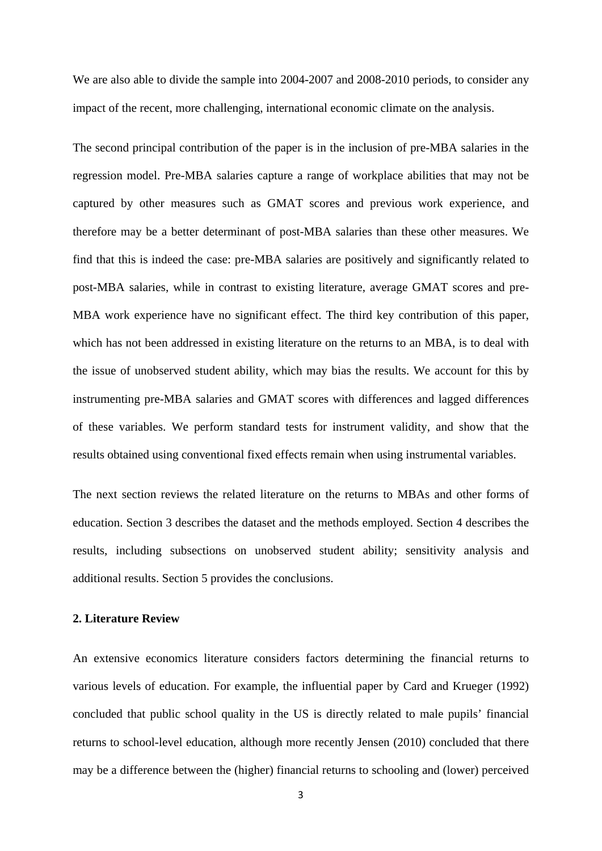We are also able to divide the sample into 2004-2007 and 2008-2010 periods, to consider any impact of the recent, more challenging, international economic climate on the analysis.

The second principal contribution of the paper is in the inclusion of pre-MBA salaries in the regression model. Pre-MBA salaries capture a range of workplace abilities that may not be captured by other measures such as GMAT scores and previous work experience, and therefore may be a better determinant of post-MBA salaries than these other measures. We find that this is indeed the case: pre-MBA salaries are positively and significantly related to post-MBA salaries, while in contrast to existing literature, average GMAT scores and pre-MBA work experience have no significant effect. The third key contribution of this paper, which has not been addressed in existing literature on the returns to an MBA, is to deal with the issue of unobserved student ability, which may bias the results. We account for this by instrumenting pre-MBA salaries and GMAT scores with differences and lagged differences of these variables. We perform standard tests for instrument validity, and show that the results obtained using conventional fixed effects remain when using instrumental variables.

The next section reviews the related literature on the returns to MBAs and other forms of education. Section 3 describes the dataset and the methods employed. Section 4 describes the results, including subsections on unobserved student ability; sensitivity analysis and additional results. Section 5 provides the conclusions.

## **2. Literature Review**

An extensive economics literature considers factors determining the financial returns to various levels of education. For example, the influential paper by Card and Krueger (1992) concluded that public school quality in the US is directly related to male pupils' financial returns to school-level education, although more recently Jensen (2010) concluded that there may be a difference between the (higher) financial returns to schooling and (lower) perceived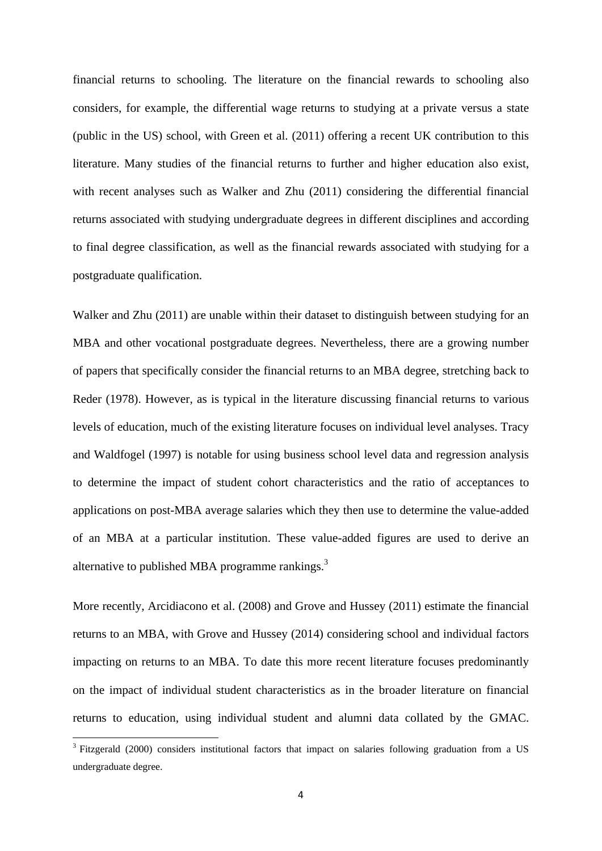financial returns to schooling. The literature on the financial rewards to schooling also considers, for example, the differential wage returns to studying at a private versus a state (public in the US) school, with Green et al. (2011) offering a recent UK contribution to this literature. Many studies of the financial returns to further and higher education also exist, with recent analyses such as Walker and Zhu (2011) considering the differential financial returns associated with studying undergraduate degrees in different disciplines and according to final degree classification, as well as the financial rewards associated with studying for a postgraduate qualification.

Walker and Zhu (2011) are unable within their dataset to distinguish between studying for an MBA and other vocational postgraduate degrees. Nevertheless, there are a growing number of papers that specifically consider the financial returns to an MBA degree, stretching back to Reder (1978). However, as is typical in the literature discussing financial returns to various levels of education, much of the existing literature focuses on individual level analyses. Tracy and Waldfogel (1997) is notable for using business school level data and regression analysis to determine the impact of student cohort characteristics and the ratio of acceptances to applications on post-MBA average salaries which they then use to determine the value-added of an MBA at a particular institution. These value-added figures are used to derive an alternative to published MBA programme rankings. $3$ 

More recently, Arcidiacono et al. (2008) and Grove and Hussey (2011) estimate the financial returns to an MBA, with Grove and Hussey (2014) considering school and individual factors impacting on returns to an MBA. To date this more recent literature focuses predominantly on the impact of individual student characteristics as in the broader literature on financial returns to education, using individual student and alumni data collated by the GMAC.

<sup>&</sup>lt;sup>3</sup> Fitzgerald (2000) considers institutional factors that impact on salaries following graduation from a US undergraduate degree.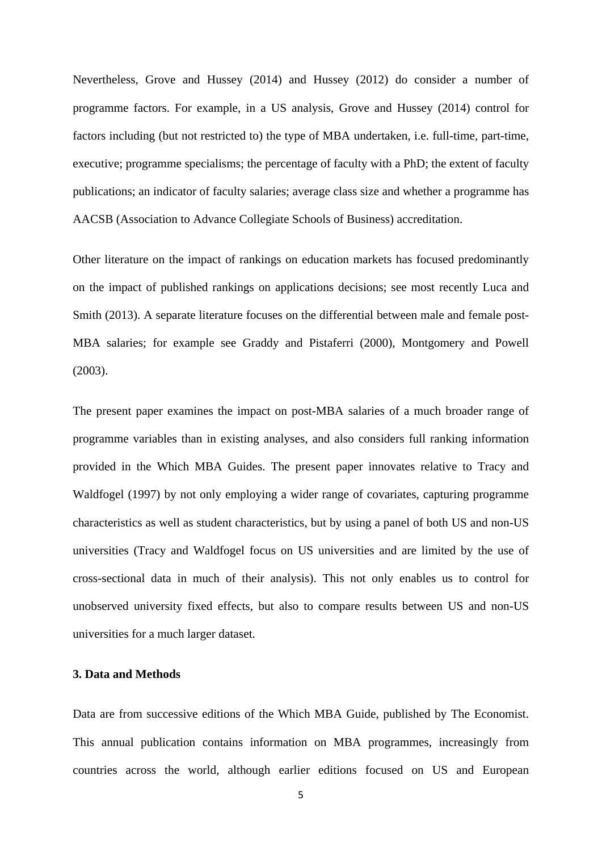Nevertheless, Grove and Hussey (2014) and Hussey (2012) do consider a number of programme factors. For example, in a US analysis, Grove and Hussey (2014) control for factors including (but not restricted to) the type of MBA undertaken, i.e. full-time, part-time, executive; programme specialisms; the percentage of faculty with a PhD; the extent of faculty publications; an indicator of faculty salaries; average class size and whether a programme has AACSB (Association to Advance Collegiate Schools of Business) accreditation.

Other literature on the impact of rankings on education markets has focused predominantly on the impact of published rankings on applications decisions; see most recently Luca and Smith (2013). A separate literature focuses on the differential between male and female post-MBA salaries; for example see Graddy and Pistaferri (2000), Montgomery and Powell (2003).

The present paper examines the impact on post-MBA salaries of a much broader range of programme variables than in existing analyses, and also considers full ranking information provided in the Which MBA Guides. The present paper innovates relative to Tracy and Waldfogel (1997) by not only employing a wider range of covariates, capturing programme characteristics as well as student characteristics, but by using a panel of both US and non-US universities (Tracy and Waldfogel focus on US universities and are limited by the use of cross-sectional data in much of their analysis). This not only enables us to control for unobserved university fixed effects, but also to compare results between US and non-US universities for a much larger dataset.

## **3. Data and Methods**

Data are from successive editions of the Which MBA Guide, published by The Economist. This annual publication contains information on MBA programmes, increasingly from countries across the world, although earlier editions focused on US and European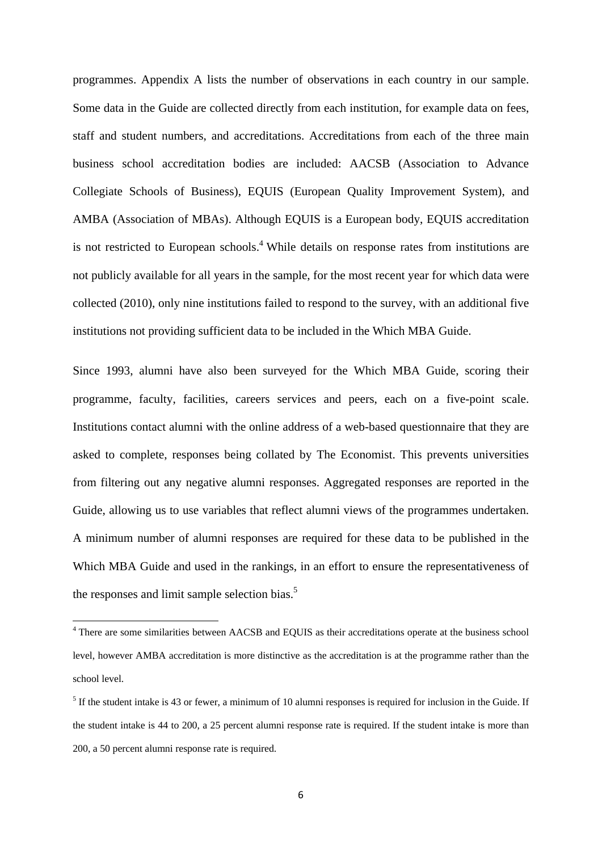programmes. Appendix A lists the number of observations in each country in our sample. Some data in the Guide are collected directly from each institution, for example data on fees, staff and student numbers, and accreditations. Accreditations from each of the three main business school accreditation bodies are included: AACSB (Association to Advance Collegiate Schools of Business), EQUIS (European Quality Improvement System), and AMBA (Association of MBAs). Although EQUIS is a European body, EQUIS accreditation is not restricted to European schools.<sup>4</sup> While details on response rates from institutions are not publicly available for all years in the sample, for the most recent year for which data were collected (2010), only nine institutions failed to respond to the survey, with an additional five institutions not providing sufficient data to be included in the Which MBA Guide.

Since 1993, alumni have also been surveyed for the Which MBA Guide, scoring their programme, faculty, facilities, careers services and peers, each on a five-point scale. Institutions contact alumni with the online address of a web-based questionnaire that they are asked to complete, responses being collated by The Economist. This prevents universities from filtering out any negative alumni responses. Aggregated responses are reported in the Guide, allowing us to use variables that reflect alumni views of the programmes undertaken. A minimum number of alumni responses are required for these data to be published in the Which MBA Guide and used in the rankings, in an effort to ensure the representativeness of the responses and limit sample selection bias.<sup>5</sup>

There are some similarities between AACSB and EQUIS as their accreditations operate at the business school level, however AMBA accreditation is more distinctive as the accreditation is at the programme rather than the school level.

 $<sup>5</sup>$  If the student intake is 43 or fewer, a minimum of 10 alumni responses is required for inclusion in the Guide. If</sup> the student intake is 44 to 200, a 25 percent alumni response rate is required. If the student intake is more than 200, a 50 percent alumni response rate is required.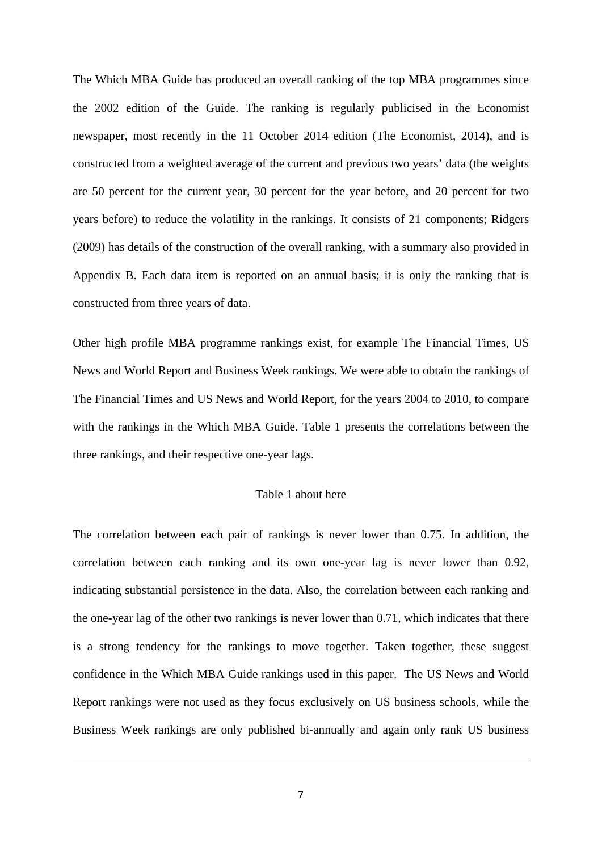The Which MBA Guide has produced an overall ranking of the top MBA programmes since the 2002 edition of the Guide. The ranking is regularly publicised in the Economist newspaper, most recently in the 11 October 2014 edition (The Economist, 2014), and is constructed from a weighted average of the current and previous two years' data (the weights are 50 percent for the current year, 30 percent for the year before, and 20 percent for two years before) to reduce the volatility in the rankings. It consists of 21 components; Ridgers (2009) has details of the construction of the overall ranking, with a summary also provided in Appendix B. Each data item is reported on an annual basis; it is only the ranking that is constructed from three years of data.

Other high profile MBA programme rankings exist, for example The Financial Times, US News and World Report and Business Week rankings. We were able to obtain the rankings of The Financial Times and US News and World Report, for the years 2004 to 2010, to compare with the rankings in the Which MBA Guide. Table 1 presents the correlations between the three rankings, and their respective one-year lags.

## Table 1 about here

The correlation between each pair of rankings is never lower than 0.75. In addition, the correlation between each ranking and its own one-year lag is never lower than 0.92, indicating substantial persistence in the data. Also, the correlation between each ranking and the one-year lag of the other two rankings is never lower than 0.71, which indicates that there is a strong tendency for the rankings to move together. Taken together, these suggest confidence in the Which MBA Guide rankings used in this paper. The US News and World Report rankings were not used as they focus exclusively on US business schools, while the Business Week rankings are only published bi-annually and again only rank US business

<u> 1989 - Johann Barn, amerikansk politiker (d. 1989)</u>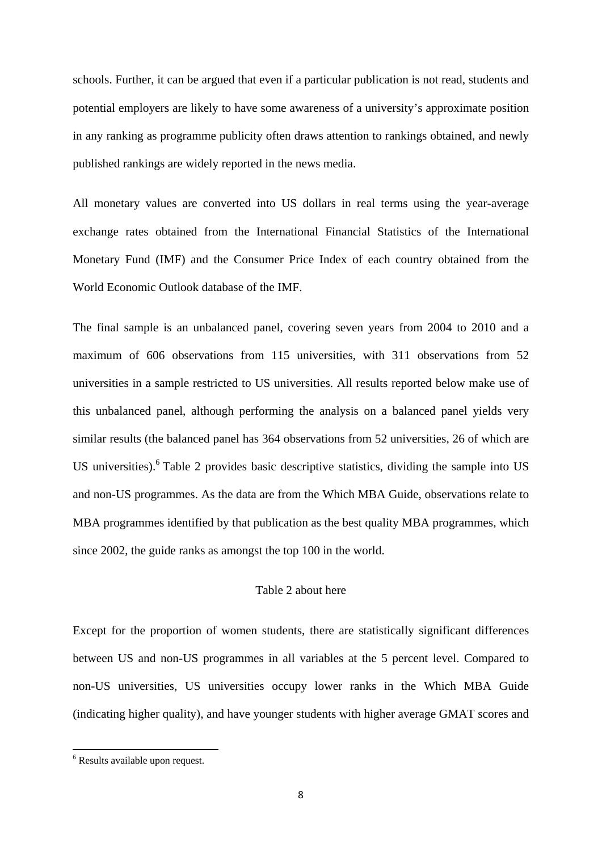schools. Further, it can be argued that even if a particular publication is not read, students and potential employers are likely to have some awareness of a university's approximate position in any ranking as programme publicity often draws attention to rankings obtained, and newly published rankings are widely reported in the news media.

All monetary values are converted into US dollars in real terms using the year-average exchange rates obtained from the International Financial Statistics of the International Monetary Fund (IMF) and the Consumer Price Index of each country obtained from the World Economic Outlook database of the IMF.

The final sample is an unbalanced panel, covering seven years from 2004 to 2010 and a maximum of 606 observations from 115 universities, with 311 observations from 52 universities in a sample restricted to US universities. All results reported below make use of this unbalanced panel, although performing the analysis on a balanced panel yields very similar results (the balanced panel has 364 observations from 52 universities, 26 of which are US universities). <sup>6</sup> Table 2 provides basic descriptive statistics, dividing the sample into US and non-US programmes. As the data are from the Which MBA Guide, observations relate to MBA programmes identified by that publication as the best quality MBA programmes, which since 2002, the guide ranks as amongst the top 100 in the world.

## Table 2 about here

Except for the proportion of women students, there are statistically significant differences between US and non-US programmes in all variables at the 5 percent level. Compared to non-US universities, US universities occupy lower ranks in the Which MBA Guide (indicating higher quality), and have younger students with higher average GMAT scores and

 6 Results available upon request.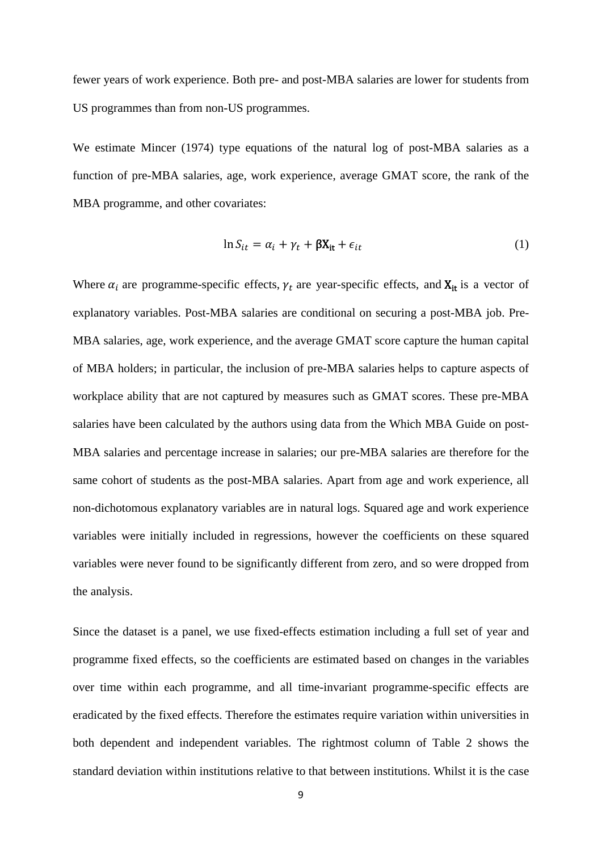fewer years of work experience. Both pre- and post-MBA salaries are lower for students from US programmes than from non-US programmes.

We estimate Mincer (1974) type equations of the natural log of post-MBA salaries as a function of pre-MBA salaries, age, work experience, average GMAT score, the rank of the MBA programme, and other covariates:

$$
\ln S_{it} = \alpha_i + \gamma_t + \beta X_{it} + \epsilon_{it}
$$
 (1)

Where  $\alpha_i$  are programme-specific effects,  $\gamma_t$  are year-specific effects, and  $X_{it}$  is a vector of explanatory variables. Post-MBA salaries are conditional on securing a post-MBA job. Pre-MBA salaries, age, work experience, and the average GMAT score capture the human capital of MBA holders; in particular, the inclusion of pre-MBA salaries helps to capture aspects of workplace ability that are not captured by measures such as GMAT scores. These pre-MBA salaries have been calculated by the authors using data from the Which MBA Guide on post-MBA salaries and percentage increase in salaries; our pre-MBA salaries are therefore for the same cohort of students as the post-MBA salaries. Apart from age and work experience, all non-dichotomous explanatory variables are in natural logs. Squared age and work experience variables were initially included in regressions, however the coefficients on these squared variables were never found to be significantly different from zero, and so were dropped from the analysis.

Since the dataset is a panel, we use fixed-effects estimation including a full set of year and programme fixed effects, so the coefficients are estimated based on changes in the variables over time within each programme, and all time-invariant programme-specific effects are eradicated by the fixed effects. Therefore the estimates require variation within universities in both dependent and independent variables. The rightmost column of Table 2 shows the standard deviation within institutions relative to that between institutions. Whilst it is the case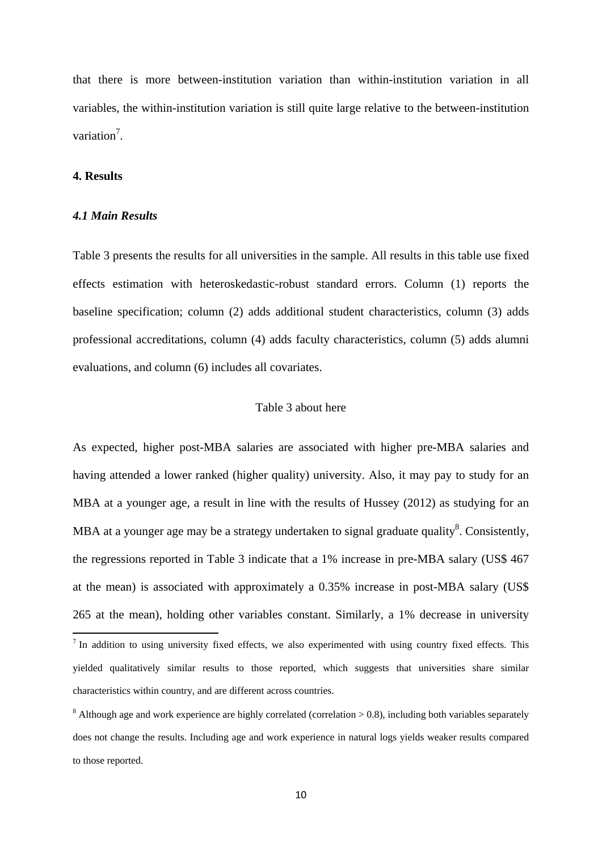that there is more between-institution variation than within-institution variation in all variables, the within-institution variation is still quite large relative to the between-institution variation<sup>7</sup>.

#### **4. Results**

#### *4.1 Main Results*

Table 3 presents the results for all universities in the sample. All results in this table use fixed effects estimation with heteroskedastic-robust standard errors. Column (1) reports the baseline specification; column (2) adds additional student characteristics, column (3) adds professional accreditations, column (4) adds faculty characteristics, column (5) adds alumni evaluations, and column (6) includes all covariates.

## Table 3 about here

As expected, higher post-MBA salaries are associated with higher pre-MBA salaries and having attended a lower ranked (higher quality) university. Also, it may pay to study for an MBA at a younger age, a result in line with the results of Hussey (2012) as studying for an MBA at a younger age may be a strategy undertaken to signal graduate quality<sup>8</sup>. Consistently, the regressions reported in Table 3 indicate that a 1% increase in pre-MBA salary (US\$ 467 at the mean) is associated with approximately a 0.35% increase in post-MBA salary (US\$ 265 at the mean), holding other variables constant. Similarly, a 1% decrease in university

<sup>&</sup>lt;sup>7</sup> In addition to using university fixed effects, we also experimented with using country fixed effects. This yielded qualitatively similar results to those reported, which suggests that universities share similar characteristics within country, and are different across countries.

 $8$  Although age and work experience are highly correlated (correlation  $> 0.8$ ), including both variables separately does not change the results. Including age and work experience in natural logs yields weaker results compared to those reported.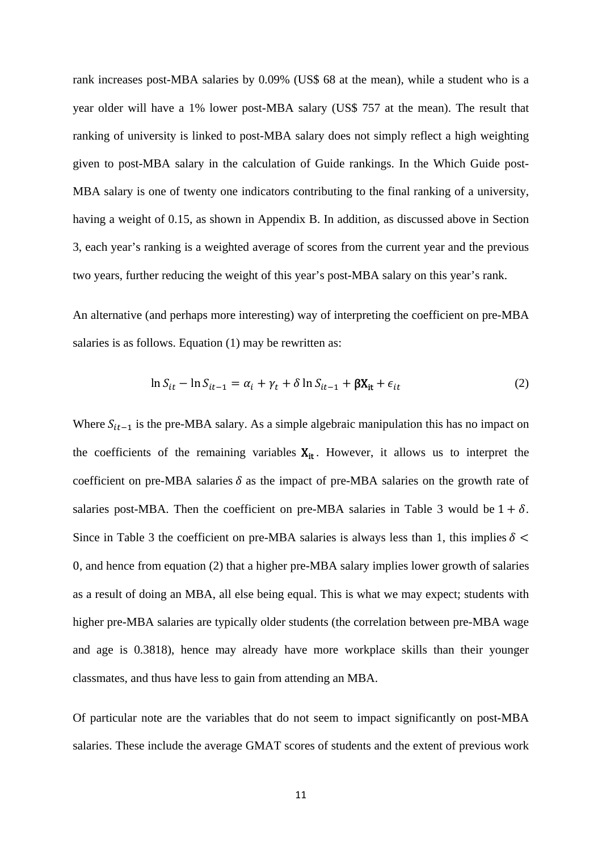rank increases post-MBA salaries by 0.09% (US\$ 68 at the mean), while a student who is a year older will have a 1% lower post-MBA salary (US\$ 757 at the mean). The result that ranking of university is linked to post-MBA salary does not simply reflect a high weighting given to post-MBA salary in the calculation of Guide rankings. In the Which Guide post-MBA salary is one of twenty one indicators contributing to the final ranking of a university, having a weight of 0.15, as shown in Appendix B. In addition, as discussed above in Section 3, each year's ranking is a weighted average of scores from the current year and the previous two years, further reducing the weight of this year's post-MBA salary on this year's rank.

An alternative (and perhaps more interesting) way of interpreting the coefficient on pre-MBA salaries is as follows. Equation (1) may be rewritten as:

$$
\ln S_{it} - \ln S_{it-1} = \alpha_i + \gamma_t + \delta \ln S_{it-1} + \beta X_{it} + \epsilon_{it}
$$
\n(2)

Where  $S_{it-1}$  is the pre-MBA salary. As a simple algebraic manipulation this has no impact on the coefficients of the remaining variables  $X_{it}$ . However, it allows us to interpret the coefficient on pre-MBA salaries  $\delta$  as the impact of pre-MBA salaries on the growth rate of salaries post-MBA. Then the coefficient on pre-MBA salaries in Table 3 would be  $1 + \delta$ . Since in Table 3 the coefficient on pre-MBA salaries is always less than 1, this implies  $\delta$  < 0, and hence from equation (2) that a higher pre-MBA salary implies lower growth of salaries as a result of doing an MBA, all else being equal. This is what we may expect; students with higher pre-MBA salaries are typically older students (the correlation between pre-MBA wage and age is 0.3818), hence may already have more workplace skills than their younger classmates, and thus have less to gain from attending an MBA.

Of particular note are the variables that do not seem to impact significantly on post-MBA salaries. These include the average GMAT scores of students and the extent of previous work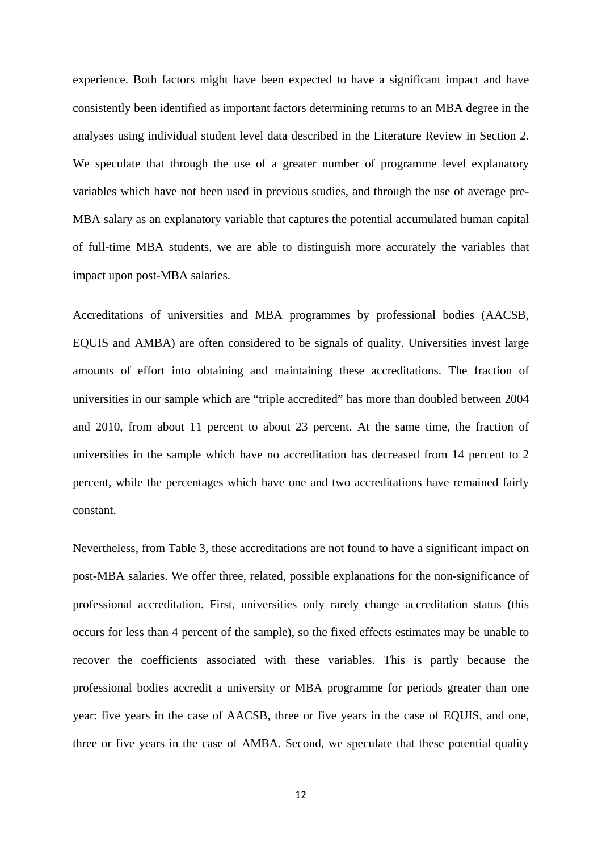experience. Both factors might have been expected to have a significant impact and have consistently been identified as important factors determining returns to an MBA degree in the analyses using individual student level data described in the Literature Review in Section 2. We speculate that through the use of a greater number of programme level explanatory variables which have not been used in previous studies, and through the use of average pre-MBA salary as an explanatory variable that captures the potential accumulated human capital of full-time MBA students, we are able to distinguish more accurately the variables that impact upon post-MBA salaries.

Accreditations of universities and MBA programmes by professional bodies (AACSB, EQUIS and AMBA) are often considered to be signals of quality. Universities invest large amounts of effort into obtaining and maintaining these accreditations. The fraction of universities in our sample which are "triple accredited" has more than doubled between 2004 and 2010, from about 11 percent to about 23 percent. At the same time, the fraction of universities in the sample which have no accreditation has decreased from 14 percent to 2 percent, while the percentages which have one and two accreditations have remained fairly constant.

Nevertheless, from Table 3, these accreditations are not found to have a significant impact on post-MBA salaries. We offer three, related, possible explanations for the non-significance of professional accreditation. First, universities only rarely change accreditation status (this occurs for less than 4 percent of the sample), so the fixed effects estimates may be unable to recover the coefficients associated with these variables. This is partly because the professional bodies accredit a university or MBA programme for periods greater than one year: five years in the case of AACSB, three or five years in the case of EQUIS, and one, three or five years in the case of AMBA. Second, we speculate that these potential quality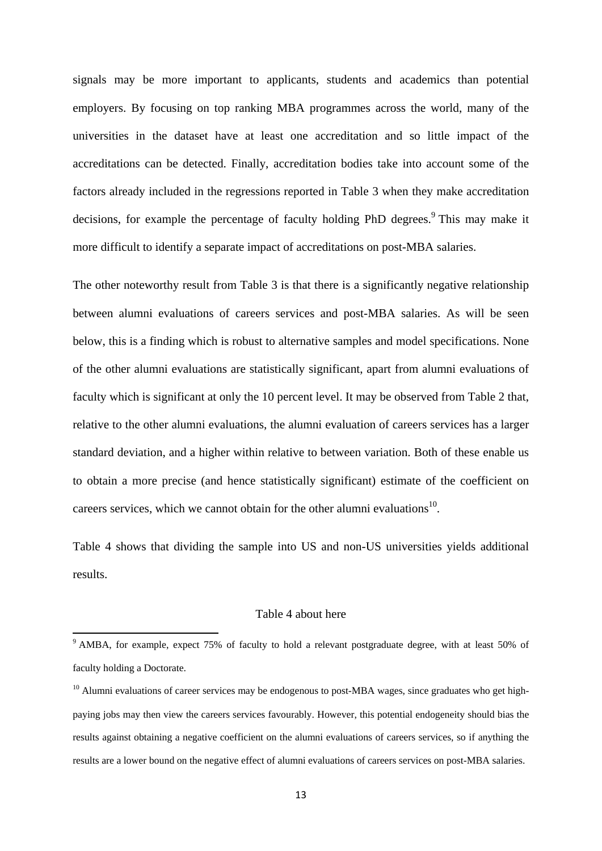signals may be more important to applicants, students and academics than potential employers. By focusing on top ranking MBA programmes across the world, many of the universities in the dataset have at least one accreditation and so little impact of the accreditations can be detected. Finally, accreditation bodies take into account some of the factors already included in the regressions reported in Table 3 when they make accreditation decisions, for example the percentage of faculty holding PhD degrees.<sup>9</sup> This may make it more difficult to identify a separate impact of accreditations on post-MBA salaries.

The other noteworthy result from Table 3 is that there is a significantly negative relationship between alumni evaluations of careers services and post-MBA salaries. As will be seen below, this is a finding which is robust to alternative samples and model specifications. None of the other alumni evaluations are statistically significant, apart from alumni evaluations of faculty which is significant at only the 10 percent level. It may be observed from Table 2 that, relative to the other alumni evaluations, the alumni evaluation of careers services has a larger standard deviation, and a higher within relative to between variation. Both of these enable us to obtain a more precise (and hence statistically significant) estimate of the coefficient on careers services, which we cannot obtain for the other alumni evaluations<sup>10</sup>.

Table 4 shows that dividing the sample into US and non-US universities yields additional results.

## Table 4 about here

<sup>&</sup>lt;sup>9</sup> AMBA, for example, expect 75% of faculty to hold a relevant postgraduate degree, with at least 50% of faculty holding a Doctorate.

 $10$  Alumni evaluations of career services may be endogenous to post-MBA wages, since graduates who get highpaying jobs may then view the careers services favourably. However, this potential endogeneity should bias the results against obtaining a negative coefficient on the alumni evaluations of careers services, so if anything the results are a lower bound on the negative effect of alumni evaluations of careers services on post-MBA salaries.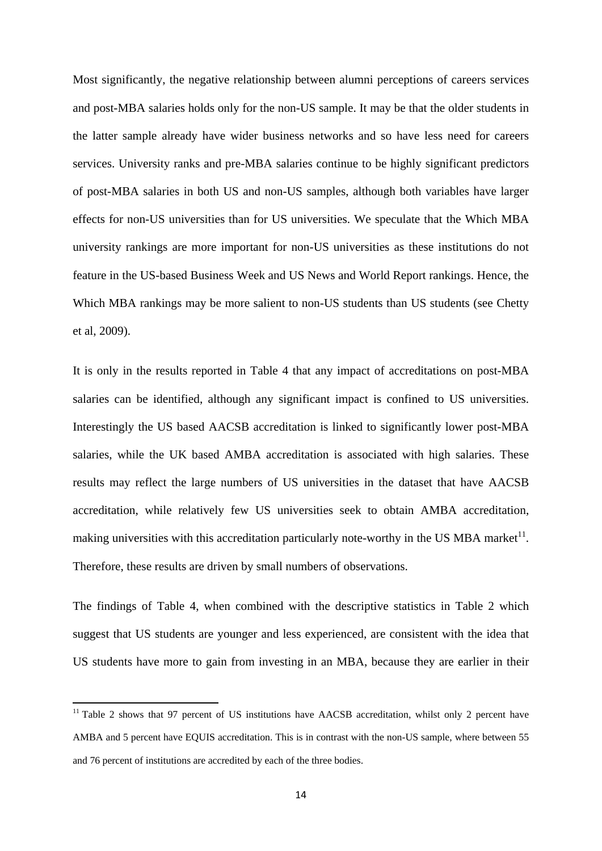Most significantly, the negative relationship between alumni perceptions of careers services and post-MBA salaries holds only for the non-US sample. It may be that the older students in the latter sample already have wider business networks and so have less need for careers services. University ranks and pre-MBA salaries continue to be highly significant predictors of post-MBA salaries in both US and non-US samples, although both variables have larger effects for non-US universities than for US universities. We speculate that the Which MBA university rankings are more important for non-US universities as these institutions do not feature in the US-based Business Week and US News and World Report rankings. Hence, the Which MBA rankings may be more salient to non-US students than US students (see Chetty et al, 2009).

It is only in the results reported in Table 4 that any impact of accreditations on post-MBA salaries can be identified, although any significant impact is confined to US universities. Interestingly the US based AACSB accreditation is linked to significantly lower post-MBA salaries, while the UK based AMBA accreditation is associated with high salaries. These results may reflect the large numbers of US universities in the dataset that have AACSB accreditation, while relatively few US universities seek to obtain AMBA accreditation, making universities with this accreditation particularly note-worthy in the US MBA market $^{11}$ . Therefore, these results are driven by small numbers of observations.

The findings of Table 4, when combined with the descriptive statistics in Table 2 which suggest that US students are younger and less experienced, are consistent with the idea that US students have more to gain from investing in an MBA, because they are earlier in their

 $11$  Table 2 shows that 97 percent of US institutions have AACSB accreditation, whilst only 2 percent have AMBA and 5 percent have EQUIS accreditation. This is in contrast with the non-US sample, where between 55 and 76 percent of institutions are accredited by each of the three bodies.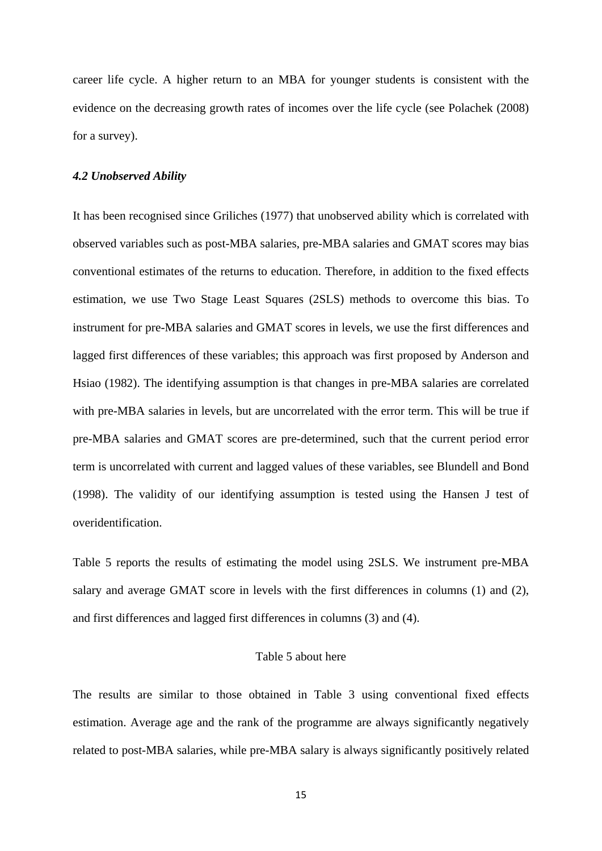career life cycle. A higher return to an MBA for younger students is consistent with the evidence on the decreasing growth rates of incomes over the life cycle (see Polachek (2008) for a survey).

#### *4.2 Unobserved Ability*

It has been recognised since Griliches (1977) that unobserved ability which is correlated with observed variables such as post-MBA salaries, pre-MBA salaries and GMAT scores may bias conventional estimates of the returns to education. Therefore, in addition to the fixed effects estimation, we use Two Stage Least Squares (2SLS) methods to overcome this bias. To instrument for pre-MBA salaries and GMAT scores in levels, we use the first differences and lagged first differences of these variables; this approach was first proposed by Anderson and Hsiao (1982). The identifying assumption is that changes in pre-MBA salaries are correlated with pre-MBA salaries in levels, but are uncorrelated with the error term. This will be true if pre-MBA salaries and GMAT scores are pre-determined, such that the current period error term is uncorrelated with current and lagged values of these variables, see Blundell and Bond (1998). The validity of our identifying assumption is tested using the Hansen J test of overidentification.

Table 5 reports the results of estimating the model using 2SLS. We instrument pre-MBA salary and average GMAT score in levels with the first differences in columns (1) and (2), and first differences and lagged first differences in columns (3) and (4).

## Table 5 about here

The results are similar to those obtained in Table 3 using conventional fixed effects estimation. Average age and the rank of the programme are always significantly negatively related to post-MBA salaries, while pre-MBA salary is always significantly positively related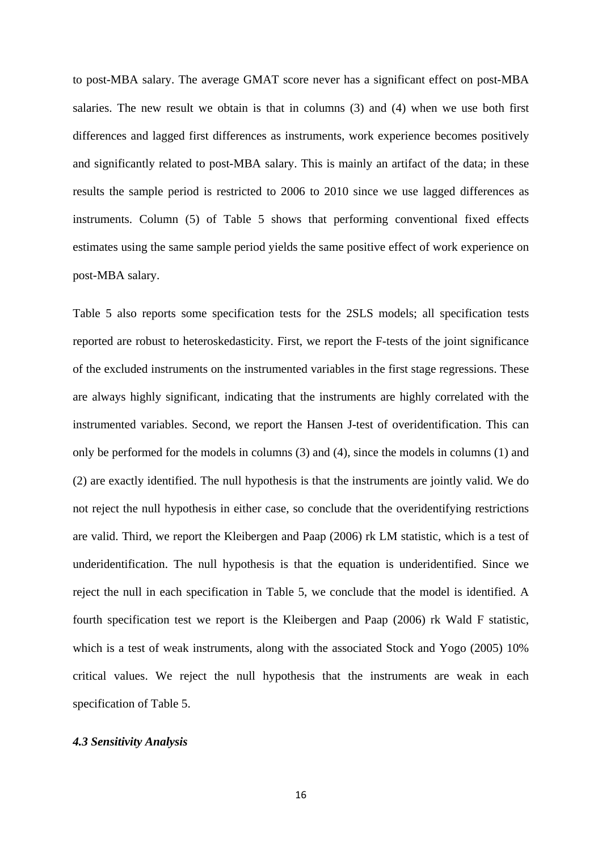to post-MBA salary. The average GMAT score never has a significant effect on post-MBA salaries. The new result we obtain is that in columns (3) and (4) when we use both first differences and lagged first differences as instruments, work experience becomes positively and significantly related to post-MBA salary. This is mainly an artifact of the data; in these results the sample period is restricted to 2006 to 2010 since we use lagged differences as instruments. Column (5) of Table 5 shows that performing conventional fixed effects estimates using the same sample period yields the same positive effect of work experience on post-MBA salary.

Table 5 also reports some specification tests for the 2SLS models; all specification tests reported are robust to heteroskedasticity. First, we report the F-tests of the joint significance of the excluded instruments on the instrumented variables in the first stage regressions. These are always highly significant, indicating that the instruments are highly correlated with the instrumented variables. Second, we report the Hansen J-test of overidentification. This can only be performed for the models in columns (3) and (4), since the models in columns (1) and (2) are exactly identified. The null hypothesis is that the instruments are jointly valid. We do not reject the null hypothesis in either case, so conclude that the overidentifying restrictions are valid. Third, we report the Kleibergen and Paap (2006) rk LM statistic, which is a test of underidentification. The null hypothesis is that the equation is underidentified. Since we reject the null in each specification in Table 5, we conclude that the model is identified. A fourth specification test we report is the Kleibergen and Paap (2006) rk Wald F statistic, which is a test of weak instruments, along with the associated Stock and Yogo (2005) 10% critical values. We reject the null hypothesis that the instruments are weak in each specification of Table 5.

#### *4.3 Sensitivity Analysis*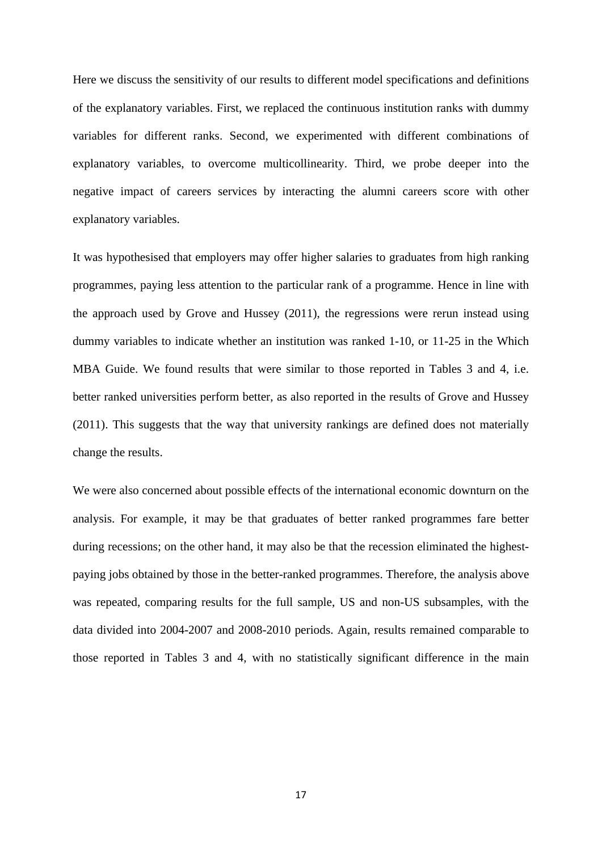Here we discuss the sensitivity of our results to different model specifications and definitions of the explanatory variables. First, we replaced the continuous institution ranks with dummy variables for different ranks. Second, we experimented with different combinations of explanatory variables, to overcome multicollinearity. Third, we probe deeper into the negative impact of careers services by interacting the alumni careers score with other explanatory variables.

It was hypothesised that employers may offer higher salaries to graduates from high ranking programmes, paying less attention to the particular rank of a programme. Hence in line with the approach used by Grove and Hussey (2011), the regressions were rerun instead using dummy variables to indicate whether an institution was ranked 1-10, or 11-25 in the Which MBA Guide. We found results that were similar to those reported in Tables 3 and 4, i.e. better ranked universities perform better, as also reported in the results of Grove and Hussey (2011). This suggests that the way that university rankings are defined does not materially change the results.

We were also concerned about possible effects of the international economic downturn on the analysis. For example, it may be that graduates of better ranked programmes fare better during recessions; on the other hand, it may also be that the recession eliminated the highestpaying jobs obtained by those in the better-ranked programmes. Therefore, the analysis above was repeated, comparing results for the full sample, US and non-US subsamples, with the data divided into 2004-2007 and 2008-2010 periods. Again, results remained comparable to those reported in Tables 3 and 4, with no statistically significant difference in the main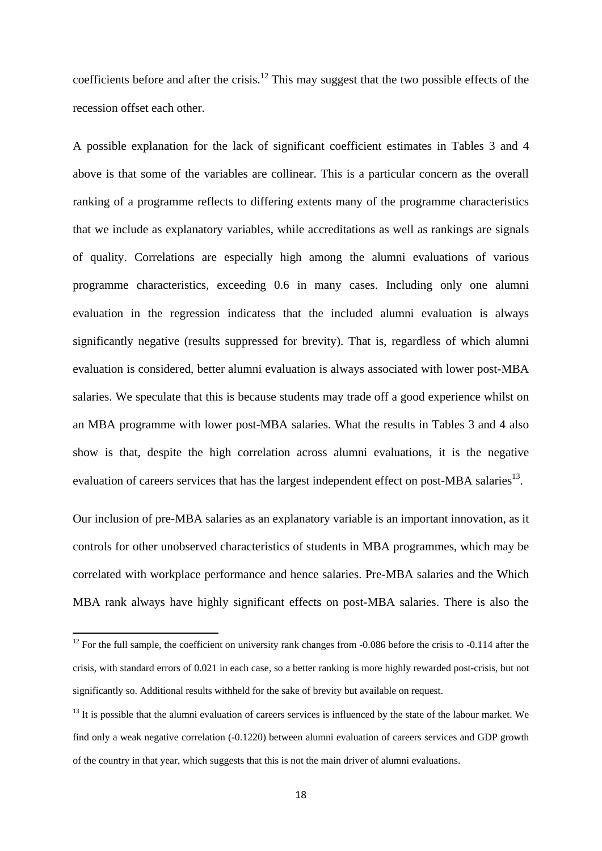coefficients before and after the crisis.<sup>12</sup> This may suggest that the two possible effects of the recession offset each other.

A possible explanation for the lack of significant coefficient estimates in Tables 3 and 4 above is that some of the variables are collinear. This is a particular concern as the overall ranking of a programme reflects to differing extents many of the programme characteristics that we include as explanatory variables, while accreditations as well as rankings are signals of quality. Correlations are especially high among the alumni evaluations of various programme characteristics, exceeding 0.6 in many cases. Including only one alumni evaluation in the regression indicatess that the included alumni evaluation is always significantly negative (results suppressed for brevity). That is, regardless of which alumni evaluation is considered, better alumni evaluation is always associated with lower post-MBA salaries. We speculate that this is because students may trade off a good experience whilst on an MBA programme with lower post-MBA salaries. What the results in Tables 3 and 4 also show is that, despite the high correlation across alumni evaluations, it is the negative evaluation of careers services that has the largest independent effect on post-MBA salaries<sup>13</sup>.

Our inclusion of pre-MBA salaries as an explanatory variable is an important innovation, as it controls for other unobserved characteristics of students in MBA programmes, which may be correlated with workplace performance and hence salaries. Pre-MBA salaries and the Which MBA rank always have highly significant effects on post-MBA salaries. There is also the

 $12$  For the full sample, the coefficient on university rank changes from -0.086 before the crisis to -0.114 after the crisis, with standard errors of 0.021 in each case, so a better ranking is more highly rewarded post-crisis, but not significantly so. Additional results withheld for the sake of brevity but available on request.

 $13$  It is possible that the alumni evaluation of careers services is influenced by the state of the labour market. We find only a weak negative correlation (-0.1220) between alumni evaluation of careers services and GDP growth of the country in that year, which suggests that this is not the main driver of alumni evaluations.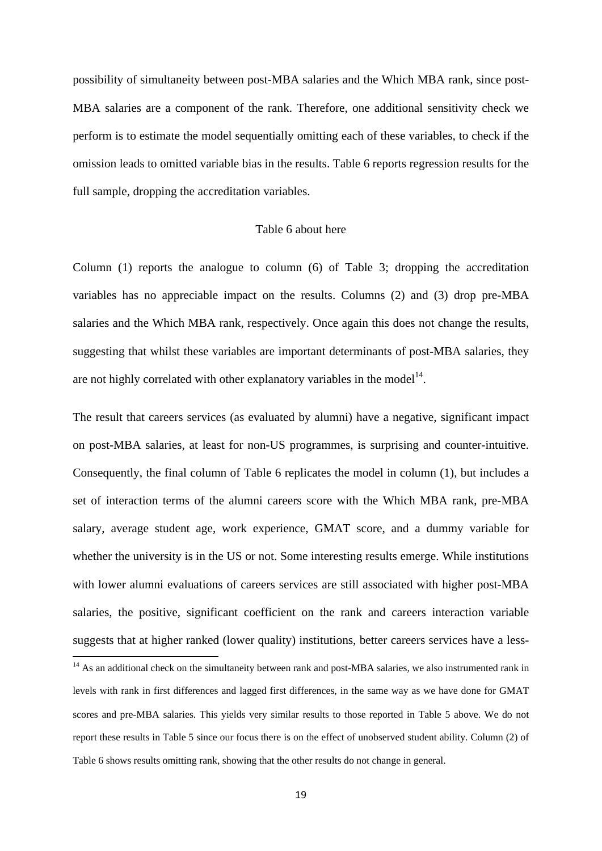possibility of simultaneity between post-MBA salaries and the Which MBA rank, since post-MBA salaries are a component of the rank. Therefore, one additional sensitivity check we perform is to estimate the model sequentially omitting each of these variables, to check if the omission leads to omitted variable bias in the results. Table 6 reports regression results for the full sample, dropping the accreditation variables.

### Table 6 about here

Column (1) reports the analogue to column (6) of Table 3; dropping the accreditation variables has no appreciable impact on the results. Columns (2) and (3) drop pre-MBA salaries and the Which MBA rank, respectively. Once again this does not change the results, suggesting that whilst these variables are important determinants of post-MBA salaries, they are not highly correlated with other explanatory variables in the model<sup>14</sup>.

The result that careers services (as evaluated by alumni) have a negative, significant impact on post-MBA salaries, at least for non-US programmes, is surprising and counter-intuitive. Consequently, the final column of Table 6 replicates the model in column (1), but includes a set of interaction terms of the alumni careers score with the Which MBA rank, pre-MBA salary, average student age, work experience, GMAT score, and a dummy variable for whether the university is in the US or not. Some interesting results emerge. While institutions with lower alumni evaluations of careers services are still associated with higher post-MBA salaries, the positive, significant coefficient on the rank and careers interaction variable suggests that at higher ranked (lower quality) institutions, better careers services have a less-

<sup>&</sup>lt;sup>14</sup> As an additional check on the simultaneity between rank and post-MBA salaries, we also instrumented rank in levels with rank in first differences and lagged first differences, in the same way as we have done for GMAT scores and pre-MBA salaries. This yields very similar results to those reported in Table 5 above. We do not report these results in Table 5 since our focus there is on the effect of unobserved student ability. Column (2) of Table 6 shows results omitting rank, showing that the other results do not change in general.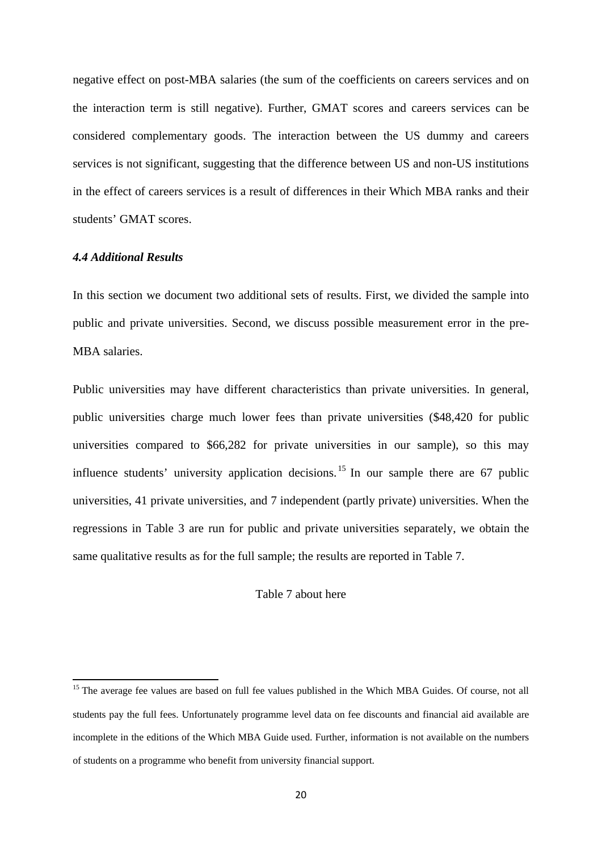negative effect on post-MBA salaries (the sum of the coefficients on careers services and on the interaction term is still negative). Further, GMAT scores and careers services can be considered complementary goods. The interaction between the US dummy and careers services is not significant, suggesting that the difference between US and non-US institutions in the effect of careers services is a result of differences in their Which MBA ranks and their students' GMAT scores.

## *4.4 Additional Results*

In this section we document two additional sets of results. First, we divided the sample into public and private universities. Second, we discuss possible measurement error in the pre-MBA salaries.

Public universities may have different characteristics than private universities. In general, public universities charge much lower fees than private universities (\$48,420 for public universities compared to \$66,282 for private universities in our sample), so this may influence students' university application decisions.<sup>15</sup> In our sample there are 67 public universities, 41 private universities, and 7 independent (partly private) universities. When the regressions in Table 3 are run for public and private universities separately, we obtain the same qualitative results as for the full sample; the results are reported in Table 7.

Table 7 about here

<sup>&</sup>lt;sup>15</sup> The average fee values are based on full fee values published in the Which MBA Guides. Of course, not all students pay the full fees. Unfortunately programme level data on fee discounts and financial aid available are incomplete in the editions of the Which MBA Guide used. Further, information is not available on the numbers of students on a programme who benefit from university financial support.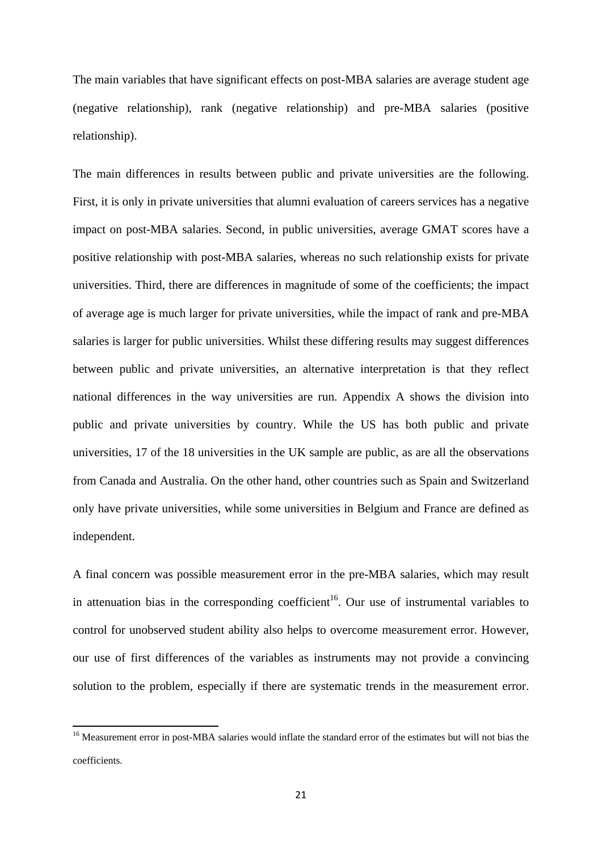The main variables that have significant effects on post-MBA salaries are average student age (negative relationship), rank (negative relationship) and pre-MBA salaries (positive relationship).

The main differences in results between public and private universities are the following. First, it is only in private universities that alumni evaluation of careers services has a negative impact on post-MBA salaries. Second, in public universities, average GMAT scores have a positive relationship with post-MBA salaries, whereas no such relationship exists for private universities. Third, there are differences in magnitude of some of the coefficients; the impact of average age is much larger for private universities, while the impact of rank and pre-MBA salaries is larger for public universities. Whilst these differing results may suggest differences between public and private universities, an alternative interpretation is that they reflect national differences in the way universities are run. Appendix A shows the division into public and private universities by country. While the US has both public and private universities, 17 of the 18 universities in the UK sample are public, as are all the observations from Canada and Australia. On the other hand, other countries such as Spain and Switzerland only have private universities, while some universities in Belgium and France are defined as independent.

A final concern was possible measurement error in the pre-MBA salaries, which may result in attenuation bias in the corresponding coefficient<sup>16</sup>. Our use of instrumental variables to control for unobserved student ability also helps to overcome measurement error. However, our use of first differences of the variables as instruments may not provide a convincing solution to the problem, especially if there are systematic trends in the measurement error.

<sup>&</sup>lt;sup>16</sup> Measurement error in post-MBA salaries would inflate the standard error of the estimates but will not bias the coefficients.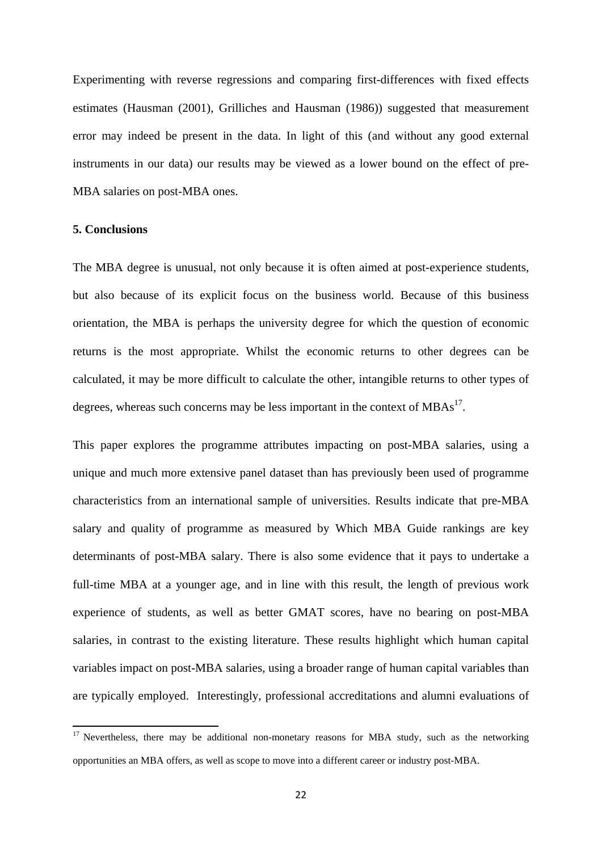Experimenting with reverse regressions and comparing first-differences with fixed effects estimates (Hausman (2001), Grilliches and Hausman (1986)) suggested that measurement error may indeed be present in the data. In light of this (and without any good external instruments in our data) our results may be viewed as a lower bound on the effect of pre-MBA salaries on post-MBA ones.

#### **5. Conclusions**

The MBA degree is unusual, not only because it is often aimed at post-experience students, but also because of its explicit focus on the business world. Because of this business orientation, the MBA is perhaps the university degree for which the question of economic returns is the most appropriate. Whilst the economic returns to other degrees can be calculated, it may be more difficult to calculate the other, intangible returns to other types of degrees, whereas such concerns may be less important in the context of  $MBAs<sup>17</sup>$ .

This paper explores the programme attributes impacting on post-MBA salaries, using a unique and much more extensive panel dataset than has previously been used of programme characteristics from an international sample of universities. Results indicate that pre-MBA salary and quality of programme as measured by Which MBA Guide rankings are key determinants of post-MBA salary. There is also some evidence that it pays to undertake a full-time MBA at a younger age, and in line with this result, the length of previous work experience of students, as well as better GMAT scores, have no bearing on post-MBA salaries, in contrast to the existing literature. These results highlight which human capital variables impact on post-MBA salaries, using a broader range of human capital variables than are typically employed. Interestingly, professional accreditations and alumni evaluations of

<sup>&</sup>lt;sup>17</sup> Nevertheless, there may be additional non-monetary reasons for MBA study, such as the networking opportunities an MBA offers, as well as scope to move into a different career or industry post-MBA.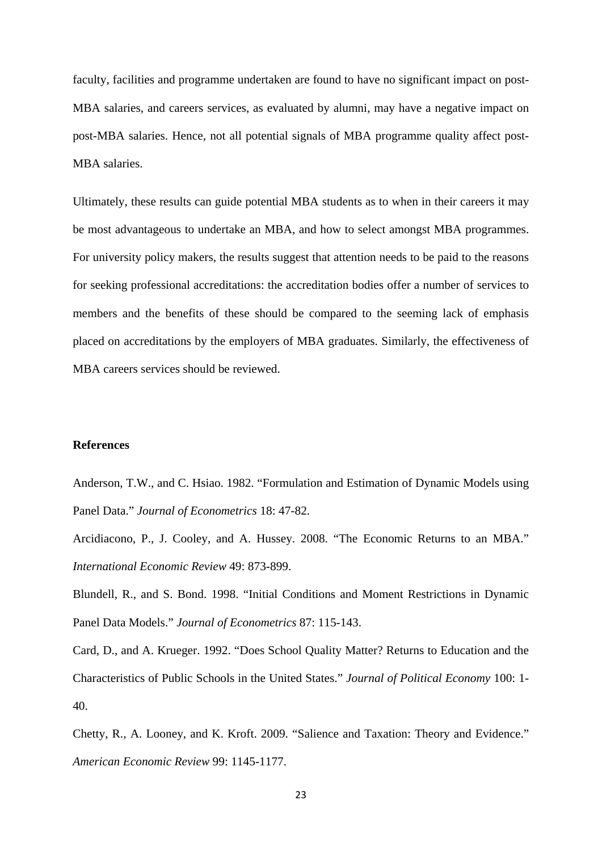faculty, facilities and programme undertaken are found to have no significant impact on post-MBA salaries, and careers services, as evaluated by alumni, may have a negative impact on post-MBA salaries. Hence, not all potential signals of MBA programme quality affect post-MBA salaries.

Ultimately, these results can guide potential MBA students as to when in their careers it may be most advantageous to undertake an MBA, and how to select amongst MBA programmes. For university policy makers, the results suggest that attention needs to be paid to the reasons for seeking professional accreditations: the accreditation bodies offer a number of services to members and the benefits of these should be compared to the seeming lack of emphasis placed on accreditations by the employers of MBA graduates. Similarly, the effectiveness of MBA careers services should be reviewed.

## **References**

Anderson, T.W., and C. Hsiao. 1982. "Formulation and Estimation of Dynamic Models using Panel Data." *Journal of Econometrics* 18: 47-82.

Arcidiacono, P., J. Cooley, and A. Hussey. 2008. "The Economic Returns to an MBA." *International Economic Review* 49: 873-899.

Blundell, R., and S. Bond. 1998. "Initial Conditions and Moment Restrictions in Dynamic Panel Data Models." *Journal of Econometrics* 87: 115-143.

Card, D., and A. Krueger. 1992. "Does School Quality Matter? Returns to Education and the Characteristics of Public Schools in the United States." *Journal of Political Economy* 100: 1- 40.

Chetty, R., A. Looney, and K. Kroft. 2009. "Salience and Taxation: Theory and Evidence." *American Economic Review* 99: 1145-1177.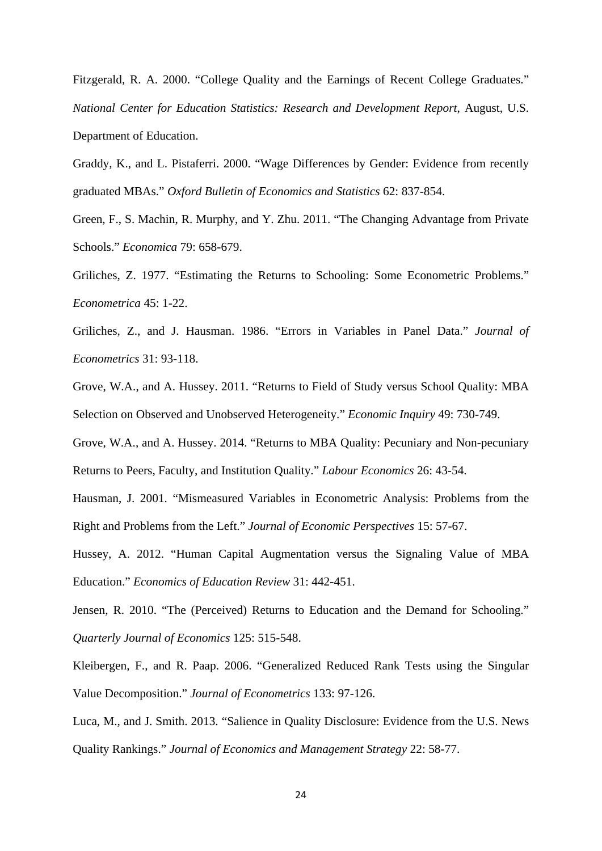Fitzgerald, R. A. 2000. "College Quality and the Earnings of Recent College Graduates." *National Center for Education Statistics: Research and Development Report*, August, U.S. Department of Education.

Graddy, K., and L. Pistaferri. 2000. "Wage Differences by Gender: Evidence from recently graduated MBAs." *Oxford Bulletin of Economics and Statistics* 62: 837-854.

Green, F., S. Machin, R. Murphy, and Y. Zhu. 2011. "The Changing Advantage from Private Schools." *Economica* 79: 658-679.

Griliches, Z. 1977. "Estimating the Returns to Schooling: Some Econometric Problems." *Econometrica* 45: 1-22.

Griliches, Z., and J. Hausman. 1986. "Errors in Variables in Panel Data." *Journal of Econometrics* 31: 93-118.

Grove, W.A., and A. Hussey. 2011. "Returns to Field of Study versus School Quality: MBA Selection on Observed and Unobserved Heterogeneity." *Economic Inquiry* 49: 730-749.

Grove, W.A., and A. Hussey. 2014. "Returns to MBA Quality: Pecuniary and Non-pecuniary Returns to Peers, Faculty, and Institution Quality." *Labour Economics* 26: 43-54.

Hausman, J. 2001. "Mismeasured Variables in Econometric Analysis: Problems from the Right and Problems from the Left." *Journal of Economic Perspectives* 15: 57-67.

Hussey, A. 2012. "Human Capital Augmentation versus the Signaling Value of MBA Education." *Economics of Education Review* 31: 442-451.

Jensen, R. 2010. "The (Perceived) Returns to Education and the Demand for Schooling." *Quarterly Journal of Economics* 125: 515-548.

Kleibergen, F., and R. Paap. 2006. "Generalized Reduced Rank Tests using the Singular Value Decomposition." *Journal of Econometrics* 133: 97-126.

Luca, M., and J. Smith. 2013. "Salience in Quality Disclosure: Evidence from the U.S. News Quality Rankings." *Journal of Economics and Management Strategy* 22: 58-77.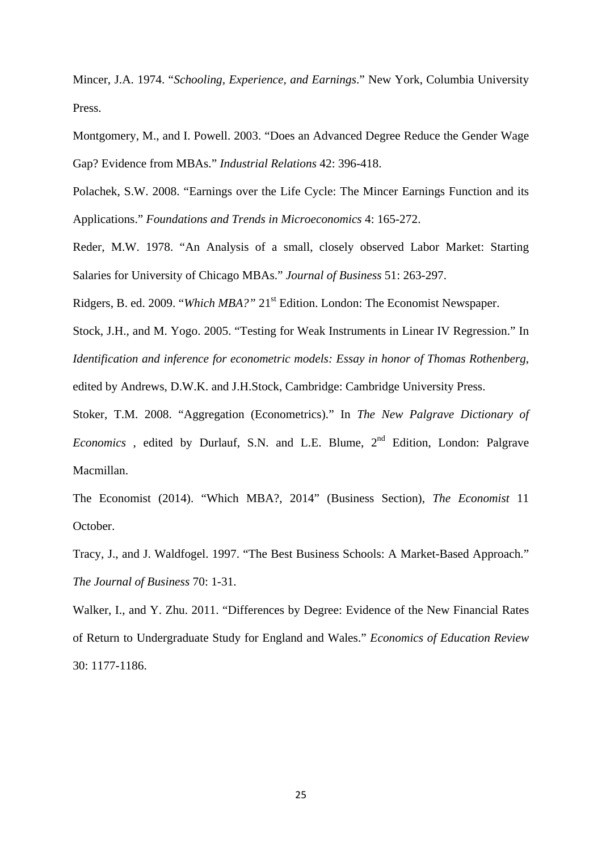Mincer, J.A. 1974. "*Schooling, Experience, and Earnings*." New York, Columbia University Press.

Montgomery, M., and I. Powell. 2003. "Does an Advanced Degree Reduce the Gender Wage Gap? Evidence from MBAs." *Industrial Relations* 42: 396-418.

Polachek, S.W. 2008. "Earnings over the Life Cycle: The Mincer Earnings Function and its Applications." *Foundations and Trends in Microeconomics* 4: 165-272.

Reder, M.W. 1978. "An Analysis of a small, closely observed Labor Market: Starting Salaries for University of Chicago MBAs." *Journal of Business* 51: 263-297.

Ridgers, B. ed. 2009. "Which MBA?" 21<sup>st</sup> Edition. London: The Economist Newspaper.

Stock, J.H., and M. Yogo. 2005. "Testing for Weak Instruments in Linear IV Regression." In *Identification and inference for econometric models: Essay in honor of Thomas Rothenberg*,

edited by Andrews, D.W.K. and J.H.Stock, Cambridge: Cambridge University Press.

Stoker, T.M. 2008. "Aggregation (Econometrics)." In *The New Palgrave Dictionary of Economics*, edited by Durlauf, S.N. and L.E. Blume, 2<sup>nd</sup> Edition, London: Palgrave Macmillan.

The Economist (2014). "Which MBA?, 2014" (Business Section), *The Economist* 11 October.

Tracy, J., and J. Waldfogel. 1997. "The Best Business Schools: A Market-Based Approach." *The Journal of Business* 70: 1-31.

Walker, I., and Y. Zhu. 2011. "Differences by Degree: Evidence of the New Financial Rates of Return to Undergraduate Study for England and Wales." *Economics of Education Review* 30: 1177-1186.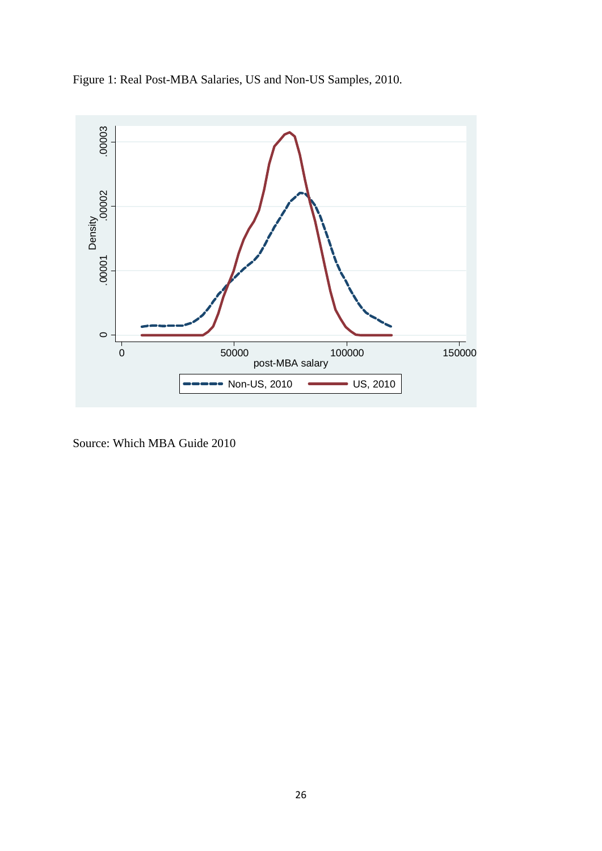



Source: Which MBA Guide 2010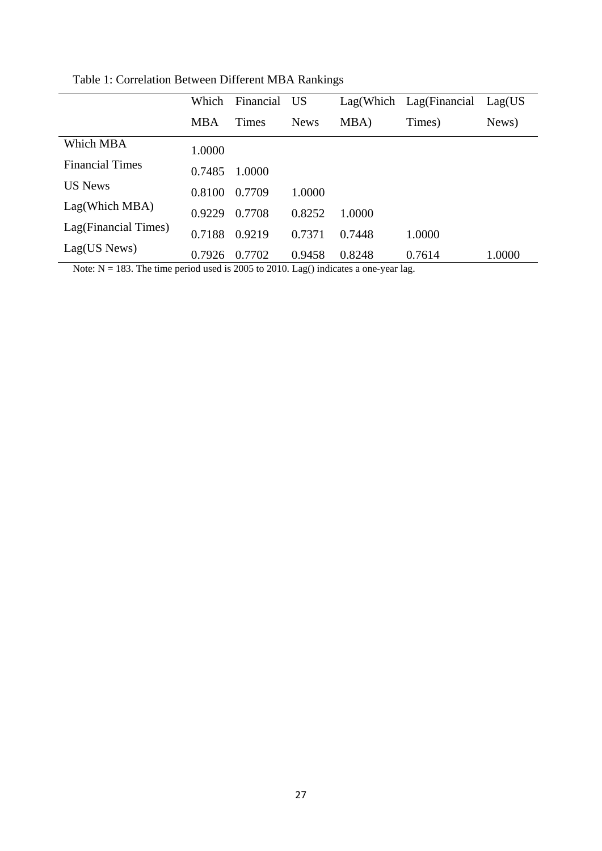|                        | Which      | Financial | <b>US</b>   |        | Lag(Which Lag(Financial | Lag(US) |
|------------------------|------------|-----------|-------------|--------|-------------------------|---------|
|                        | <b>MBA</b> | Times     | <b>News</b> | MBA)   | Times)                  | News)   |
| Which MBA              | 1.0000     |           |             |        |                         |         |
| <b>Financial Times</b> | 0.7485     | 1.0000    |             |        |                         |         |
| <b>US News</b>         | 0.8100     | 0.7709    | 1.0000      |        |                         |         |
| Lag(Which MBA)         | 0.9229     | 0.7708    | 0.8252      | 1.0000 |                         |         |
| Lag(Financial Times)   | 0.7188     | 0.9219    | 0.7371      | 0.7448 | 1.0000                  |         |
| Lag(US News)           | 0.7926     | 0.7702    | 0.9458      | 0.8248 | 0.7614                  | 1.0000  |

Table 1: Correlation Between Different MBA Rankings

Note: N = 183. The time period used is 2005 to 2010. Lag() indicates a one-year lag.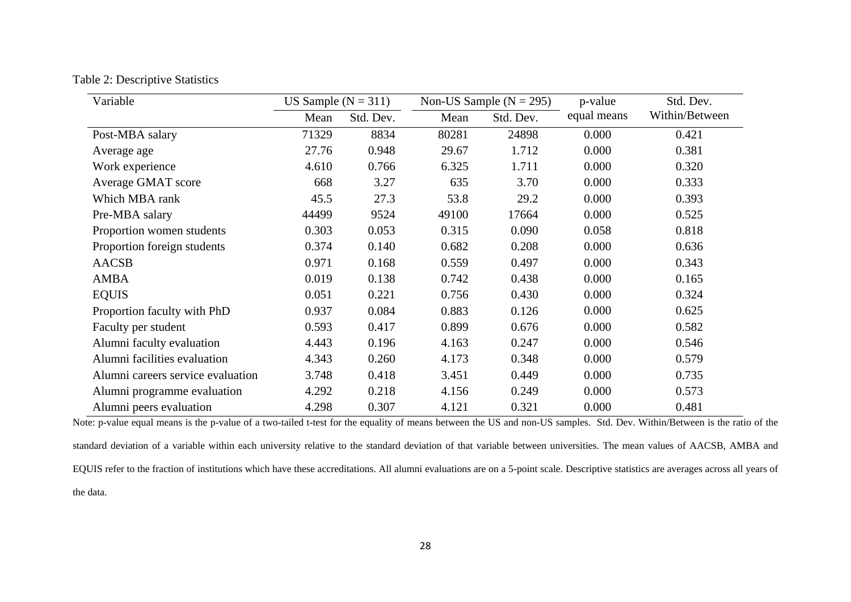| Table 2: Descriptive Statistics |  |
|---------------------------------|--|
|---------------------------------|--|

| Variable                          | US Sample ( $N = 311$ ) |           |       | Non-US Sample ( $N = 295$ ) | p-value     | Std. Dev.      |
|-----------------------------------|-------------------------|-----------|-------|-----------------------------|-------------|----------------|
|                                   | Mean                    | Std. Dev. | Mean  | Std. Dev.                   | equal means | Within/Between |
| Post-MBA salary                   | 71329                   | 8834      | 80281 | 24898                       | 0.000       | 0.421          |
| Average age                       | 27.76                   | 0.948     | 29.67 | 1.712                       | 0.000       | 0.381          |
| Work experience                   | 4.610                   | 0.766     | 6.325 | 1.711                       | 0.000       | 0.320          |
| Average GMAT score                | 668                     | 3.27      | 635   | 3.70                        | 0.000       | 0.333          |
| Which MBA rank                    | 45.5                    | 27.3      | 53.8  | 29.2                        | 0.000       | 0.393          |
| Pre-MBA salary                    | 44499                   | 9524      | 49100 | 17664                       | 0.000       | 0.525          |
| Proportion women students         | 0.303                   | 0.053     | 0.315 | 0.090                       | 0.058       | 0.818          |
| Proportion foreign students       | 0.374                   | 0.140     | 0.682 | 0.208                       | 0.000       | 0.636          |
| <b>AACSB</b>                      | 0.971                   | 0.168     | 0.559 | 0.497                       | 0.000       | 0.343          |
| <b>AMBA</b>                       | 0.019                   | 0.138     | 0.742 | 0.438                       | 0.000       | 0.165          |
| <b>EQUIS</b>                      | 0.051                   | 0.221     | 0.756 | 0.430                       | 0.000       | 0.324          |
| Proportion faculty with PhD       | 0.937                   | 0.084     | 0.883 | 0.126                       | 0.000       | 0.625          |
| Faculty per student               | 0.593                   | 0.417     | 0.899 | 0.676                       | 0.000       | 0.582          |
| Alumni faculty evaluation         | 4.443                   | 0.196     | 4.163 | 0.247                       | 0.000       | 0.546          |
| Alumni facilities evaluation      | 4.343                   | 0.260     | 4.173 | 0.348                       | 0.000       | 0.579          |
| Alumni careers service evaluation | 3.748                   | 0.418     | 3.451 | 0.449                       | 0.000       | 0.735          |
| Alumni programme evaluation       | 4.292                   | 0.218     | 4.156 | 0.249                       | 0.000       | 0.573          |
| Alumni peers evaluation           | 4.298                   | 0.307     | 4.121 | 0.321                       | 0.000       | 0.481          |

Note: p-value equal means is the p-value of a two-tailed t-test for the equality of means between the US and non-US samples. Std. Dev. Within/Between is the ratio of the standard deviation of a variable within each university relative to the standard deviation of that variable between universities. The mean values of AACSB, AMBA and EQUIS refer to the fraction of institutions which have these accreditations. All alumni evaluations are on a 5-point scale. Descriptive statistics are averages across all years of the data.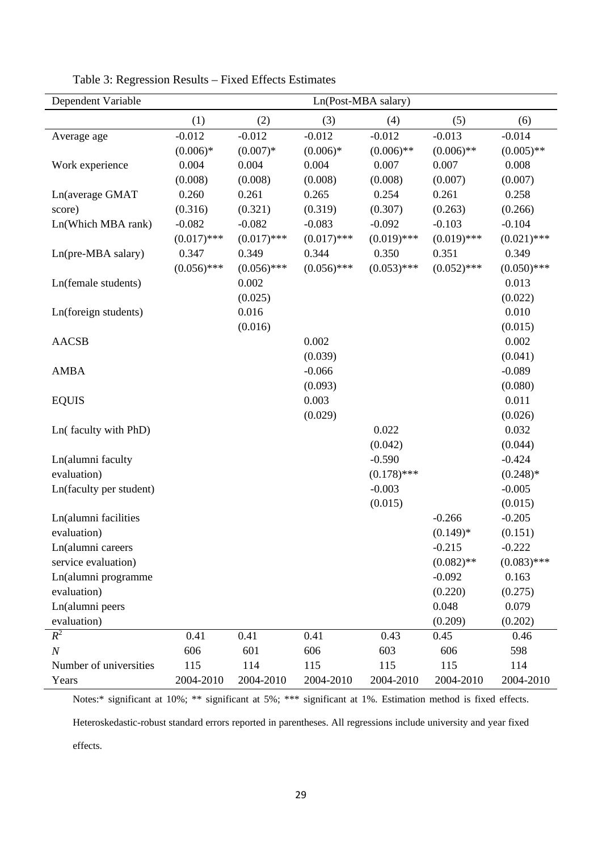| Dependent Variable      | Ln(Post-MBA salary) |               |               |               |               |               |
|-------------------------|---------------------|---------------|---------------|---------------|---------------|---------------|
|                         | (1)                 | (2)           | (3)           | (4)           | (5)           | (6)           |
| Average age             | $-0.012$            | $-0.012$      | $-0.012$      | $-0.012$      | $-0.013$      | $-0.014$      |
|                         | $(0.006)*$          | $(0.007)*$    | $(0.006)*$    | $(0.006)$ **  | $(0.006)$ **  | $(0.005)$ **  |
| Work experience         | 0.004               | 0.004         | 0.004         | 0.007         | 0.007         | 0.008         |
|                         | (0.008)             | (0.008)       | (0.008)       | (0.008)       | (0.007)       | (0.007)       |
| Ln(average GMAT         | 0.260               | 0.261         | 0.265         | 0.254         | 0.261         | 0.258         |
| score)                  | (0.316)             | (0.321)       | (0.319)       | (0.307)       | (0.263)       | (0.266)       |
| Ln(Which MBA rank)      | $-0.082$            | $-0.082$      | $-0.083$      | $-0.092$      | $-0.103$      | $-0.104$      |
|                         | $(0.017)$ ***       | $(0.017)$ *** | $(0.017)$ *** | $(0.019)$ *** | $(0.019)$ *** | $(0.021)$ *** |
| Ln(pre-MBA salary)      | 0.347               | 0.349         | 0.344         | 0.350         | 0.351         | 0.349         |
|                         | $(0.056)$ ***       | $(0.056)$ *** | $(0.056)$ *** | $(0.053)$ *** | $(0.052)$ *** | $(0.050)$ *** |
| Ln(female students)     |                     | 0.002         |               |               |               | 0.013         |
|                         |                     | (0.025)       |               |               |               | (0.022)       |
| Ln(foreign students)    |                     | 0.016         |               |               |               | 0.010         |
|                         |                     | (0.016)       |               |               |               | (0.015)       |
| <b>AACSB</b>            |                     |               | 0.002         |               |               | 0.002         |
|                         |                     |               | (0.039)       |               |               | (0.041)       |
| <b>AMBA</b>             |                     |               | $-0.066$      |               |               | $-0.089$      |
|                         |                     |               | (0.093)       |               |               | (0.080)       |
| <b>EQUIS</b>            |                     |               | 0.003         |               |               | 0.011         |
|                         |                     |               | (0.029)       |               |               | (0.026)       |
| Ln(faculty with PhD)    |                     |               |               | 0.022         |               | 0.032         |
|                         |                     |               |               | (0.042)       |               | (0.044)       |
| Ln(alumni faculty       |                     |               |               | $-0.590$      |               | $-0.424$      |
| evaluation)             |                     |               |               | $(0.178)$ *** |               | $(0.248)*$    |
| Ln(faculty per student) |                     |               |               | $-0.003$      |               | $-0.005$      |
|                         |                     |               |               | (0.015)       |               | (0.015)       |
| Ln(alumni facilities    |                     |               |               |               | $-0.266$      | $-0.205$      |
| evaluation)             |                     |               |               |               | $(0.149)*$    | (0.151)       |
| Ln(alumni careers       |                     |               |               |               | $-0.215$      | $-0.222$      |
| service evaluation)     |                     |               |               |               | $(0.082)$ **  | $(0.083)$ *** |
| Ln(alumni programme     |                     |               |               |               | $-0.092$      | 0.163         |
| evaluation)             |                     |               |               |               | (0.220)       | (0.275)       |
| Ln(alumni peers         |                     |               |               |               | 0.048         | 0.079         |
| evaluation)             |                     |               |               |               | (0.209)       | (0.202)       |
| $R^2$                   | 0.41                | 0.41          | 0.41          | 0.43          | 0.45          | 0.46          |
| $\boldsymbol{N}$        | 606                 | 601           | 606           | 603           | 606           | 598           |
| Number of universities  | 115                 | 114           | 115           | 115           | 115           | 114           |
| Years                   | 2004-2010           | 2004-2010     | 2004-2010     | 2004-2010     | 2004-2010     | 2004-2010     |

Table 3: Regression Results – Fixed Effects Estimates

Notes:\* significant at 10%; \*\* significant at 5%; \*\*\* significant at 1%. Estimation method is fixed effects.

Heteroskedastic-robust standard errors reported in parentheses. All regressions include university and year fixed

effects.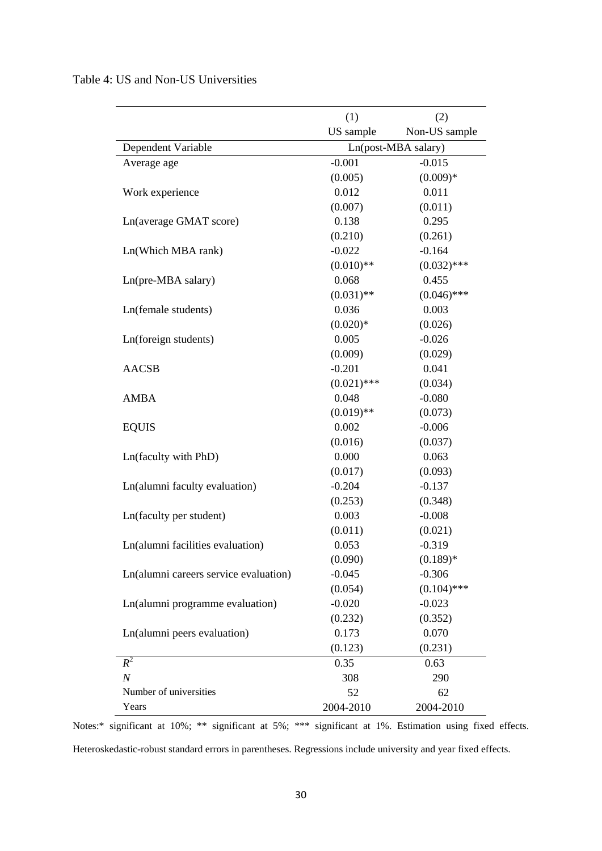| Table 4: US and Non-US Universities |  |  |  |  |  |
|-------------------------------------|--|--|--|--|--|
|-------------------------------------|--|--|--|--|--|

|                                       | (1)                 | (2)           |  |
|---------------------------------------|---------------------|---------------|--|
|                                       | US sample           | Non-US sample |  |
| Dependent Variable                    | Ln(post-MBA salary) |               |  |
| Average age                           | $-0.001$            | $-0.015$      |  |
|                                       | (0.005)             | $(0.009)*$    |  |
| Work experience                       | 0.012               | 0.011         |  |
|                                       | (0.007)             | (0.011)       |  |
| Ln(average GMAT score)                | 0.138               | 0.295         |  |
|                                       | (0.210)             | (0.261)       |  |
| Ln(Which MBA rank)                    | $-0.022$            | $-0.164$      |  |
|                                       | $(0.010)$ **        | $(0.032)$ *** |  |
| Ln(pre-MBA salary)                    | 0.068               | 0.455         |  |
|                                       | $(0.031)$ **        | $(0.046)$ *** |  |
| Ln(female students)                   | 0.036               | 0.003         |  |
|                                       | $(0.020)*$          | (0.026)       |  |
| Ln(foreign students)                  | 0.005               | $-0.026$      |  |
|                                       | (0.009)             | (0.029)       |  |
| <b>AACSB</b>                          | $-0.201$            | 0.041         |  |
|                                       | $(0.021)$ ***       | (0.034)       |  |
| <b>AMBA</b>                           | 0.048               | $-0.080$      |  |
|                                       | $(0.019)$ **        | (0.073)       |  |
| <b>EQUIS</b>                          | 0.002               | $-0.006$      |  |
|                                       | (0.016)             | (0.037)       |  |
| Ln(faculty with PhD)                  | 0.000               | 0.063         |  |
|                                       | (0.017)             | (0.093)       |  |
| Ln(alumni faculty evaluation)         | $-0.204$            | $-0.137$      |  |
|                                       | (0.253)             | (0.348)       |  |
| Ln(faculty per student)               | 0.003               | $-0.008$      |  |
|                                       | (0.011)             | (0.021)       |  |
| Ln(alumni facilities evaluation)      | 0.053               | $-0.319$      |  |
|                                       | (0.090)             | $(0.189)*$    |  |
| Ln(alumni careers service evaluation) | $-0.045$            | $-0.306$      |  |
|                                       | (0.054)             | $(0.104)$ *** |  |
| Ln(alumni programme evaluation)       | $-0.020$            | $-0.023$      |  |
|                                       | (0.232)             | (0.352)       |  |
| Ln(alumni peers evaluation)           | 0.173               | 0.070         |  |
|                                       | (0.123)             | (0.231)       |  |
| $R^2$                                 | 0.35                | 0.63          |  |
| $\boldsymbol{N}$                      | 308                 | 290           |  |
| Number of universities                | 52                  | 62            |  |
| Years                                 | 2004-2010           | 2004-2010     |  |

Notes:\* significant at 10%; \*\* significant at 5%; \*\*\* significant at 1%. Estimation using fixed effects.

Heteroskedastic-robust standard errors in parentheses. Regressions include university and year fixed effects.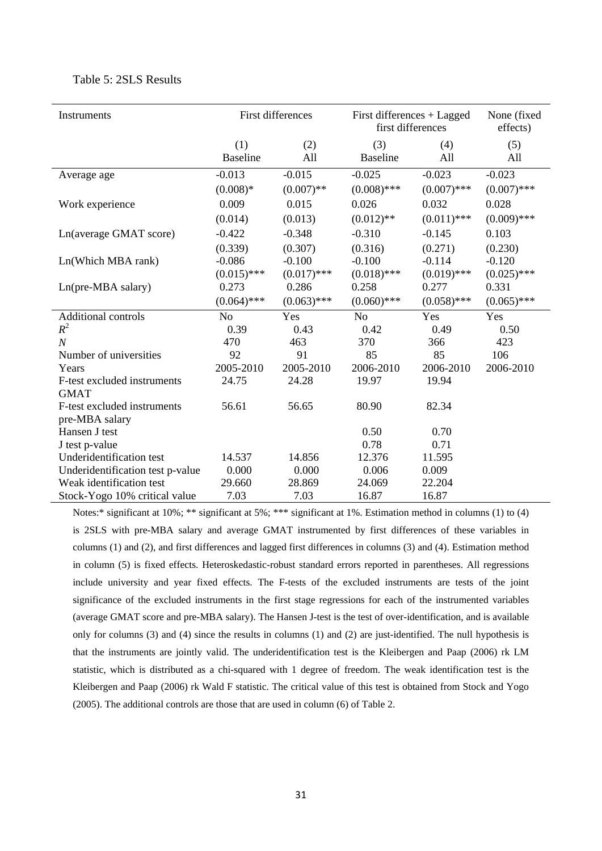| Instruments                      | First differences      |               |                        | First differences + Lagged<br>first differences |               |  |
|----------------------------------|------------------------|---------------|------------------------|-------------------------------------------------|---------------|--|
|                                  | (1)<br><b>Baseline</b> | (2)<br>All    | (3)<br><b>Baseline</b> | (4)<br>All                                      | (5)<br>All    |  |
| Average age                      | $-0.013$               | $-0.015$      | $-0.025$               | $-0.023$                                        | $-0.023$      |  |
|                                  | $(0.008)*$             | $(0.007)$ **  | $(0.008)$ ***          | $(0.007)$ ***                                   | $(0.007)$ *** |  |
| Work experience                  | 0.009                  | 0.015         | 0.026                  | 0.032                                           | 0.028         |  |
|                                  | (0.014)                | (0.013)       | $(0.012)$ **           | $(0.011)$ ***                                   | $(0.009)$ *** |  |
| Ln(average GMAT score)           | $-0.422$               | $-0.348$      | $-0.310$               | $-0.145$                                        | 0.103         |  |
|                                  | (0.339)                | (0.307)       | (0.316)                | (0.271)                                         | (0.230)       |  |
| Ln(Which MBA rank)               | $-0.086$               | $-0.100$      | $-0.100$               | $-0.114$                                        | $-0.120$      |  |
|                                  | $(0.015)$ ***          | $(0.017)$ *** | $(0.018)$ ***          | $(0.019)$ ***                                   | $(0.025)$ *** |  |
| Ln(pre-MBA salary)               | 0.273                  | 0.286         | 0.258                  | 0.277                                           | 0.331         |  |
|                                  | $(0.064)$ ***          | $(0.063)$ *** | $(0.060)$ ***          | $(0.058)$ ***                                   | $(0.065)$ *** |  |
| <b>Additional controls</b>       | N <sub>o</sub>         | Yes           | N <sub>o</sub>         | Yes                                             | Yes           |  |
| $R^2$                            | 0.39                   | 0.43          | 0.42                   | 0.49                                            | 0.50          |  |
| $\boldsymbol{N}$                 | 470                    | 463           | 370                    | 366                                             | 423           |  |
| Number of universities           | 92                     | 91            | 85                     | 85                                              | 106           |  |
| Years                            | 2005-2010              | 2005-2010     | 2006-2010              | 2006-2010                                       | 2006-2010     |  |
| F-test excluded instruments      | 24.75                  | 24.28         | 19.97                  | 19.94                                           |               |  |
| <b>GMAT</b>                      |                        |               |                        |                                                 |               |  |
| F-test excluded instruments      | 56.61                  | 56.65         | 80.90                  | 82.34                                           |               |  |
| pre-MBA salary                   |                        |               |                        |                                                 |               |  |
| Hansen J test                    |                        |               | 0.50                   | 0.70                                            |               |  |
| J test p-value                   |                        |               | 0.78                   | 0.71                                            |               |  |
| Underidentification test         | 14.537                 | 14.856        | 12.376                 | 11.595                                          |               |  |
| Underidentification test p-value | 0.000                  | 0.000         | 0.006                  | 0.009                                           |               |  |
| Weak identification test         | 29.660                 | 28.869        | 24.069                 | 22.204                                          |               |  |
| Stock-Yogo 10% critical value    | 7.03                   | 7.03          | 16.87                  | 16.87                                           |               |  |

#### Table 5: 2SLS Results

Notes:\* significant at 10%; \*\* significant at 5%; \*\*\* significant at 1%. Estimation method in columns (1) to (4) is 2SLS with pre-MBA salary and average GMAT instrumented by first differences of these variables in columns (1) and (2), and first differences and lagged first differences in columns (3) and (4). Estimation method in column (5) is fixed effects. Heteroskedastic-robust standard errors reported in parentheses. All regressions include university and year fixed effects. The F-tests of the excluded instruments are tests of the joint significance of the excluded instruments in the first stage regressions for each of the instrumented variables (average GMAT score and pre-MBA salary). The Hansen J-test is the test of over-identification, and is available only for columns (3) and (4) since the results in columns (1) and (2) are just-identified. The null hypothesis is that the instruments are jointly valid. The underidentification test is the Kleibergen and Paap (2006) rk LM statistic, which is distributed as a chi-squared with 1 degree of freedom. The weak identification test is the Kleibergen and Paap (2006) rk Wald F statistic. The critical value of this test is obtained from Stock and Yogo (2005). The additional controls are those that are used in column (6) of Table 2.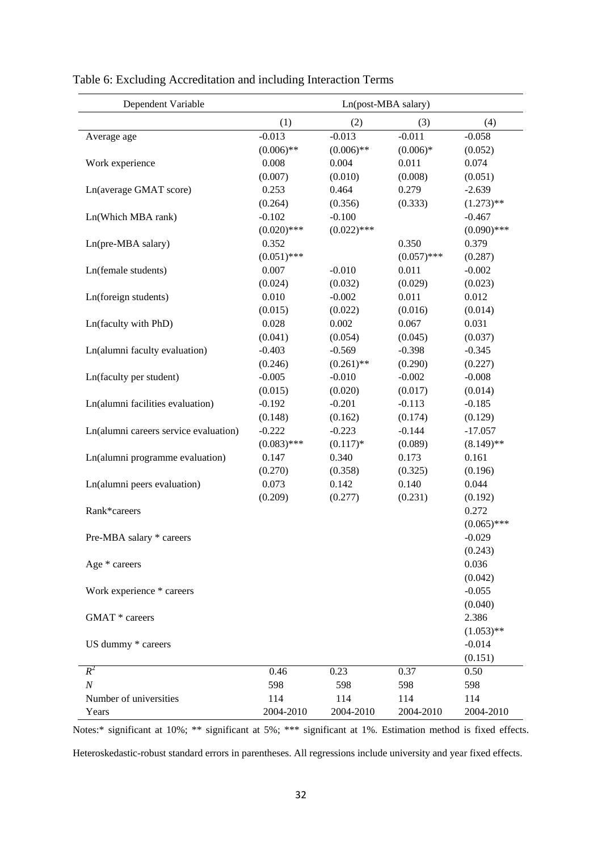| Dependent Variable                    | Ln(post-MBA salary) |               |               |               |  |  |
|---------------------------------------|---------------------|---------------|---------------|---------------|--|--|
|                                       | (1)                 | (2)           | (3)           | (4)           |  |  |
| Average age                           | $-0.013$            | $-0.013$      | $-0.011$      | $-0.058$      |  |  |
|                                       | $(0.006)$ **        | $(0.006)$ **  | $(0.006)*$    | (0.052)       |  |  |
| Work experience                       | 0.008               | 0.004         | 0.011         | 0.074         |  |  |
|                                       | (0.007)             | (0.010)       | (0.008)       | (0.051)       |  |  |
| Ln(average GMAT score)                | 0.253               | 0.464         | 0.279         | $-2.639$      |  |  |
|                                       | (0.264)             | (0.356)       | (0.333)       | $(1.273)$ **  |  |  |
| Ln(Which MBA rank)                    | $-0.102$            | $-0.100$      |               | $-0.467$      |  |  |
|                                       | $(0.020)$ ***       | $(0.022)$ *** |               | $(0.090)$ *** |  |  |
| Ln(pre-MBA salary)                    | 0.352               |               | 0.350         | 0.379         |  |  |
|                                       | $(0.051)$ ***       |               | $(0.057)$ *** | (0.287)       |  |  |
| Ln(female students)                   | 0.007               | $-0.010$      | 0.011         | $-0.002$      |  |  |
|                                       | (0.024)             | (0.032)       | (0.029)       | (0.023)       |  |  |
| Ln(foreign students)                  | 0.010               | $-0.002$      | 0.011         | 0.012         |  |  |
|                                       | (0.015)             | (0.022)       | (0.016)       | (0.014)       |  |  |
| Ln(faculty with PhD)                  | 0.028               | 0.002         | 0.067         | 0.031         |  |  |
|                                       | (0.041)             | (0.054)       | (0.045)       | (0.037)       |  |  |
| Ln(alumni faculty evaluation)         | $-0.403$            | $-0.569$      | $-0.398$      | $-0.345$      |  |  |
|                                       | (0.246)             | $(0.261)$ **  | (0.290)       | (0.227)       |  |  |
| Ln(faculty per student)               | $-0.005$            | $-0.010$      | $-0.002$      | $-0.008$      |  |  |
|                                       | (0.015)             | (0.020)       | (0.017)       | (0.014)       |  |  |
| Ln(alumni facilities evaluation)      | $-0.192$            | $-0.201$      | $-0.113$      | $-0.185$      |  |  |
|                                       | (0.148)             | (0.162)       | (0.174)       | (0.129)       |  |  |
| Ln(alumni careers service evaluation) | $-0.222$            | $-0.223$      | $-0.144$      | $-17.057$     |  |  |
|                                       | $(0.083)$ ***       | $(0.117)*$    | (0.089)       | $(8.149)$ **  |  |  |
| Ln(alumni programme evaluation)       | 0.147               | 0.340         | 0.173         | 0.161         |  |  |
|                                       | (0.270)             | (0.358)       | (0.325)       | (0.196)       |  |  |
| Ln(alumni peers evaluation)           | 0.073               | 0.142         | 0.140         | 0.044         |  |  |
|                                       | (0.209)             | (0.277)       | (0.231)       | (0.192)       |  |  |
| Rank*careers                          |                     |               |               | 0.272         |  |  |
|                                       |                     |               |               | $(0.065)$ *** |  |  |
| Pre-MBA salary * careers              |                     |               |               | $-0.029$      |  |  |
|                                       |                     |               |               | (0.243)       |  |  |
| Age * careers                         |                     |               |               | 0.036         |  |  |
|                                       |                     |               |               | (0.042)       |  |  |
| Work experience * careers             |                     |               |               | $-0.055$      |  |  |
|                                       |                     |               |               | (0.040)       |  |  |
| GMAT * careers                        |                     |               |               | 2.386         |  |  |
|                                       |                     |               |               | $(1.053)$ **  |  |  |
| US dummy * careers                    |                     |               |               | $-0.014$      |  |  |
|                                       |                     |               |               | (0.151)       |  |  |
| $R^2$                                 | 0.46                | 0.23          | 0.37          | 0.50          |  |  |
| $\boldsymbol{N}$                      | 598                 | 598           | 598           | 598           |  |  |
| Number of universities                | 114                 | 114           | 114           | 114           |  |  |
| Years                                 | 2004-2010           | 2004-2010     | 2004-2010     | 2004-2010     |  |  |

| Table 6: Excluding Accreditation and including Interaction Terms |  |  |  |
|------------------------------------------------------------------|--|--|--|
|                                                                  |  |  |  |

Notes:\* significant at 10%; \*\* significant at 5%; \*\*\* significant at 1%. Estimation method is fixed effects.

Heteroskedastic-robust standard errors in parentheses. All regressions include university and year fixed effects.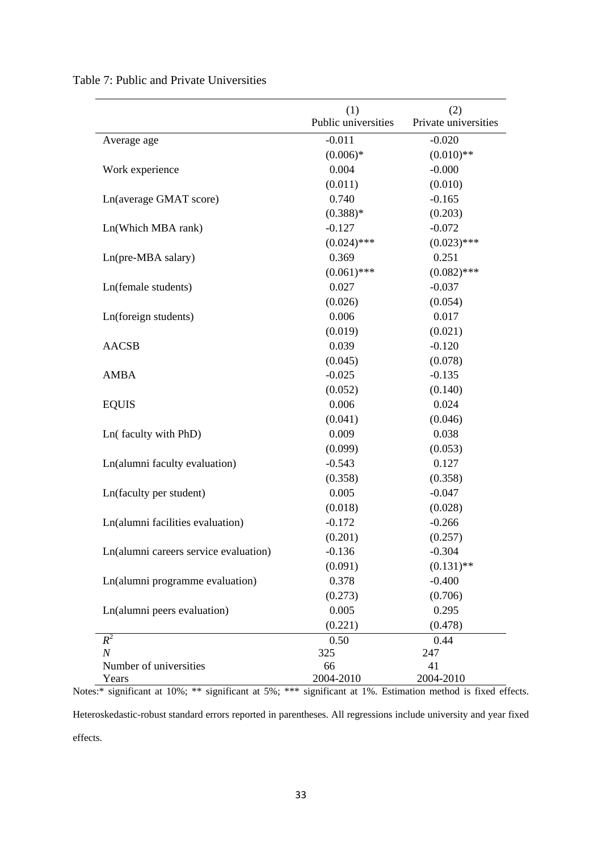|                                       | (1)                 | (2)                  |
|---------------------------------------|---------------------|----------------------|
|                                       | Public universities | Private universities |
| Average age                           | $-0.011$            | $-0.020$             |
|                                       | $(0.006)*$          | $(0.010)$ **         |
| Work experience                       | 0.004               | $-0.000$             |
|                                       | (0.011)             | (0.010)              |
| Ln(average GMAT score)                | 0.740               | $-0.165$             |
|                                       | $(0.388)*$          | (0.203)              |
| Ln(Which MBA rank)                    | $-0.127$            | $-0.072$             |
|                                       | $(0.024)$ ***       | $(0.023)$ ***        |
| Ln(pre-MBA salary)                    | 0.369               | 0.251                |
|                                       | $(0.061)$ ***       | $(0.082)$ ***        |
| Ln(female students)                   | 0.027               | $-0.037$             |
|                                       | (0.026)             | (0.054)              |
| Ln(foreign students)                  | 0.006               | 0.017                |
|                                       | (0.019)             | (0.021)              |
| <b>AACSB</b>                          | 0.039               | $-0.120$             |
|                                       | (0.045)             | (0.078)              |
| <b>AMBA</b>                           | $-0.025$            | $-0.135$             |
|                                       | (0.052)             | (0.140)              |
| <b>EQUIS</b>                          | 0.006               | 0.024                |
|                                       | (0.041)             | (0.046)              |
| Ln(faculty with PhD)                  | 0.009               | 0.038                |
|                                       | (0.099)             | (0.053)              |
| Ln(alumni faculty evaluation)         | $-0.543$            | 0.127                |
|                                       | (0.358)             | (0.358)              |
| Ln(faculty per student)               | 0.005               | $-0.047$             |
|                                       | (0.018)             | (0.028)              |
| Ln(alumni facilities evaluation)      | $-0.172$            | $-0.266$             |
|                                       | (0.201)             | (0.257)              |
| Ln(alumni careers service evaluation) | $-0.136$            | $-0.304$             |
|                                       | (0.091)             | $(0.131)$ **         |
| Ln(alumni programme evaluation)       | 0.378               | $-0.400$             |
|                                       | (0.273)             | (0.706)              |
| Ln(alumni peers evaluation)           | 0.005               | 0.295                |
|                                       | (0.221)             | (0.478)              |
| $R^2$                                 | 0.50                | 0.44                 |
| $\cal N$                              | 325                 | 247                  |
| Number of universities                | 66                  | 41                   |
| Years                                 | 2004-2010           | 2004-2010            |

Table 7: Public and Private Universities

Notes:\* significant at 10%; \*\* significant at 5%; \*\*\* significant at 1%. Estimation method is fixed effects.

Heteroskedastic-robust standard errors reported in parentheses. All regressions include university and year fixed effects.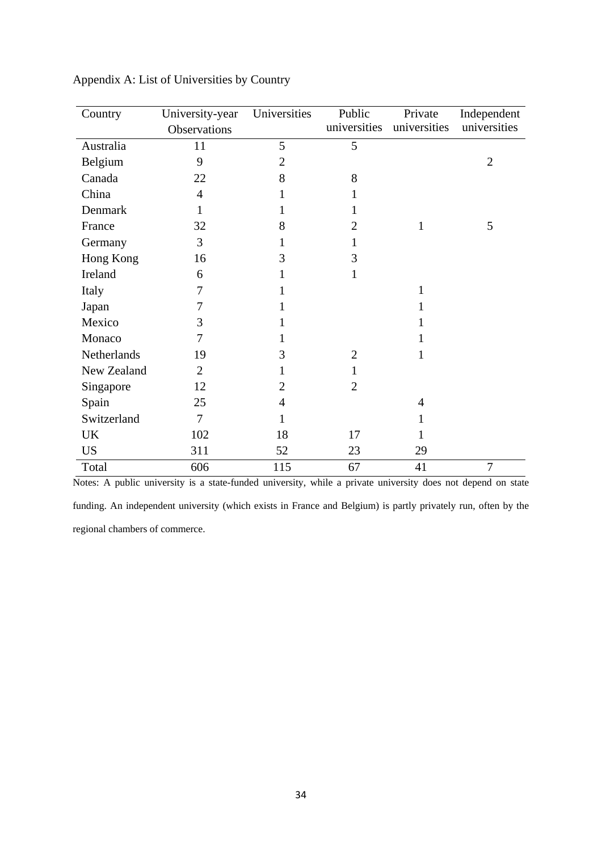| Country     | University-year | Universities   | Public         | Private      | Independent    |
|-------------|-----------------|----------------|----------------|--------------|----------------|
|             | Observations    |                | universities   | universities | universities   |
| Australia   | 11              | 5              | 5              |              |                |
| Belgium     | 9               | 2              |                |              | $\overline{2}$ |
| Canada      | 22              | 8              | 8              |              |                |
| China       | $\overline{4}$  | 1              | 1              |              |                |
| Denmark     | 1               | 1              | 1              |              |                |
| France      | 32              | 8              | $\overline{2}$ | $\mathbf{1}$ | 5              |
| Germany     | 3               | 1              | 1              |              |                |
| Hong Kong   | 16              | 3              | 3              |              |                |
| Ireland     | 6               | 1              | $\mathbf{1}$   |              |                |
| Italy       | 7               |                |                | 1            |                |
| Japan       | 7               |                |                |              |                |
| Mexico      | 3               |                |                |              |                |
| Monaco      | 7               | 1              |                |              |                |
| Netherlands | 19              | 3              | $\overline{2}$ | $\mathbf{1}$ |                |
| New Zealand | $\overline{2}$  | 1              | 1              |              |                |
| Singapore   | 12              | $\overline{2}$ | $\overline{2}$ |              |                |
| Spain       | 25              | 4              |                | 4            |                |
| Switzerland | $\overline{7}$  | 1              |                | 1            |                |
| UK          | 102             | 18             | 17             |              |                |
| <b>US</b>   | 311             | 52             | 23             | 29           |                |
| Total       | 606             | 115            | 67             | 41           | 7              |

Appendix A: List of Universities by Country

Notes: A public university is a state-funded university, while a private university does not depend on state

funding. An independent university (which exists in France and Belgium) is partly privately run, often by the regional chambers of commerce.